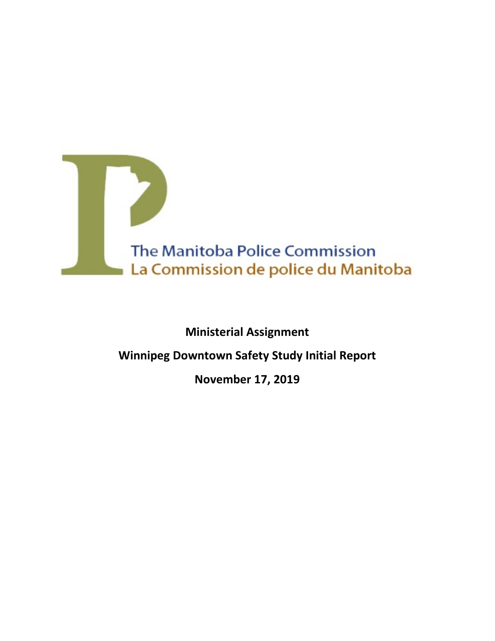

# **Ministerial Assignment**

# **Winnipeg Downtown Safety Study Initial Report**

## **November 17, 2019**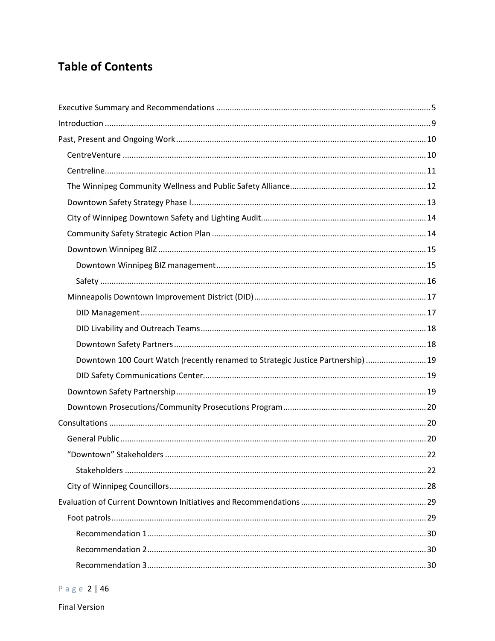# **Table of Contents**

| Downtown 100 Court Watch (recently renamed to Strategic Justice Partnership)  19 |  |
|----------------------------------------------------------------------------------|--|
|                                                                                  |  |
|                                                                                  |  |
|                                                                                  |  |
|                                                                                  |  |
|                                                                                  |  |
|                                                                                  |  |
|                                                                                  |  |
|                                                                                  |  |
|                                                                                  |  |
|                                                                                  |  |
|                                                                                  |  |
|                                                                                  |  |
|                                                                                  |  |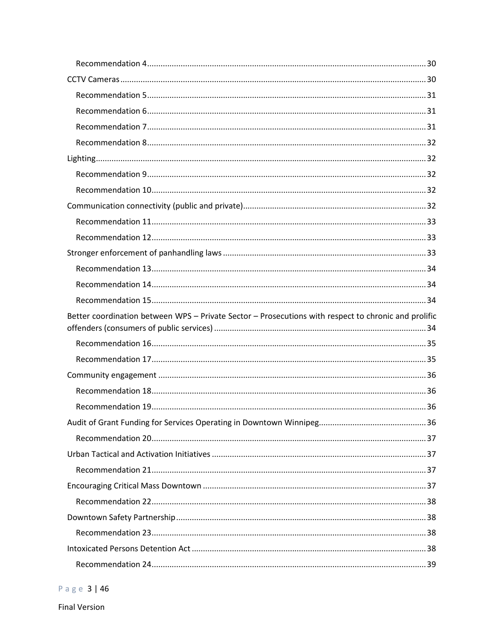| Better coordination between WPS - Private Sector - Prosecutions with respect to chronic and prolific |  |
|------------------------------------------------------------------------------------------------------|--|
|                                                                                                      |  |
|                                                                                                      |  |
|                                                                                                      |  |
|                                                                                                      |  |
|                                                                                                      |  |
|                                                                                                      |  |
|                                                                                                      |  |
|                                                                                                      |  |
|                                                                                                      |  |
|                                                                                                      |  |
|                                                                                                      |  |
|                                                                                                      |  |
|                                                                                                      |  |
|                                                                                                      |  |
|                                                                                                      |  |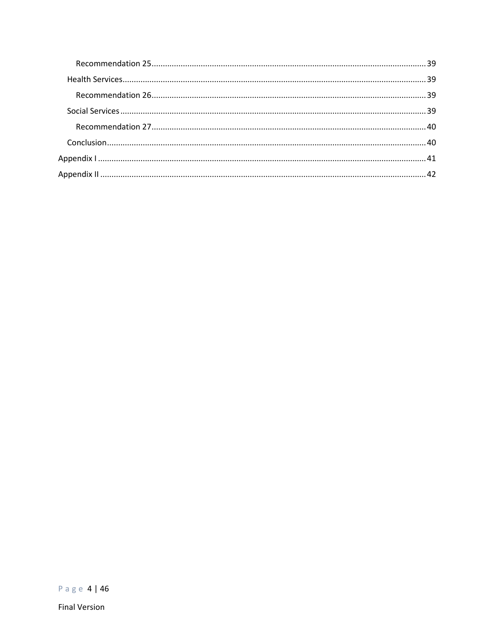Page 4 | 46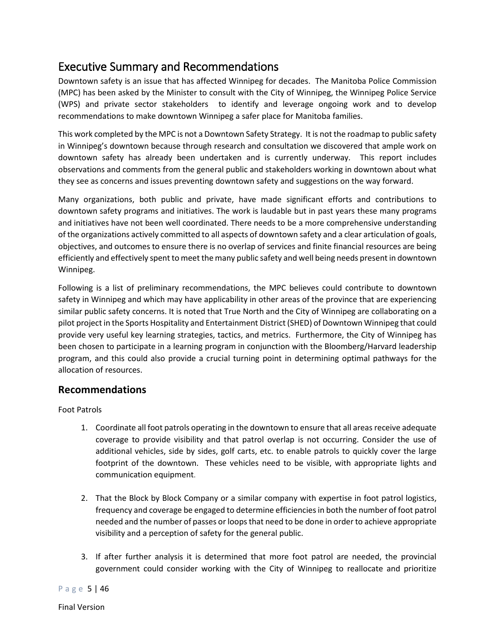## <span id="page-4-0"></span>Executive Summary and Recommendations

Downtown safety is an issue that has affected Winnipeg for decades. The Manitoba Police Commission (MPC) has been asked by the Minister to consult with the City of Winnipeg, the Winnipeg Police Service (WPS) and private sector stakeholders to identify and leverage ongoing work and to develop recommendations to make downtown Winnipeg a safer place for Manitoba families.

This work completed by the MPC is not a Downtown Safety Strategy. It is not the roadmap to public safety in Winnipeg's downtown because through research and consultation we discovered that ample work on downtown safety has already been undertaken and is currently underway. This report includes observations and comments from the general public and stakeholders working in downtown about what they see as concerns and issues preventing downtown safety and suggestions on the way forward.

Many organizations, both public and private, have made significant efforts and contributions to downtown safety programs and initiatives. The work is laudable but in past years these many programs and initiatives have not been well coordinated. There needs to be a more comprehensive understanding of the organizations actively committed to all aspects of downtown safety and a clear articulation of goals, objectives, and outcomes to ensure there is no overlap of services and finite financial resources are being efficiently and effectively spent to meet the many public safety and well being needs present in downtown Winnipeg.

Following is a list of preliminary recommendations, the MPC believes could contribute to downtown safety in Winnipeg and which may have applicability in other areas of the province that are experiencing similar public safety concerns. It is noted that True North and the City of Winnipeg are collaborating on a pilot project in the Sports Hospitality and Entertainment District (SHED) of Downtown Winnipeg that could provide very useful key learning strategies, tactics, and metrics. Furthermore, the City of Winnipeg has been chosen to participate in a learning program in conjunction with the Bloomberg/Harvard leadership program, and this could also provide a crucial turning point in determining optimal pathways for the allocation of resources.

## **Recommendations**

Foot Patrols

- 1. Coordinate all foot patrols operating in the downtown to ensure that all areas receive adequate coverage to provide visibility and that patrol overlap is not occurring. Consider the use of additional vehicles, side by sides, golf carts, etc. to enable patrols to quickly cover the large footprint of the downtown. These vehicles need to be visible, with appropriate lights and communication equipment.
- 2. That the Block by Block Company or a similar company with expertise in foot patrol logistics, frequency and coverage be engaged to determine efficiencies in both the number of foot patrol needed and the number of passes or loops that need to be done in order to achieve appropriate visibility and a perception of safety for the general public.
- 3. If after further analysis it is determined that more foot patrol are needed, the provincial government could consider working with the City of Winnipeg to reallocate and prioritize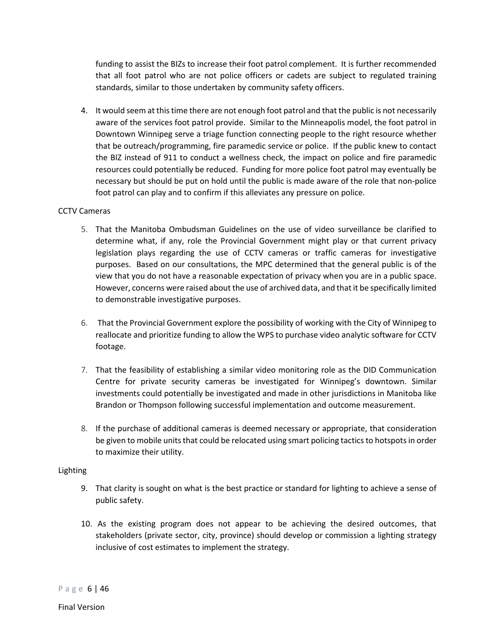funding to assist the BIZs to increase their foot patrol complement. It is further recommended that all foot patrol who are not police officers or cadets are subject to regulated training standards, similar to those undertaken by community safety officers.

4. It would seem at this time there are not enough foot patrol and that the public is not necessarily aware of the services foot patrol provide. Similar to the Minneapolis model, the foot patrol in Downtown Winnipeg serve a triage function connecting people to the right resource whether that be outreach/programming, fire paramedic service or police. If the public knew to contact the BIZ instead of 911 to conduct a wellness check, the impact on police and fire paramedic resources could potentially be reduced. Funding for more police foot patrol may eventually be necessary but should be put on hold until the public is made aware of the role that non-police foot patrol can play and to confirm if this alleviates any pressure on police.

#### CCTV Cameras

- 5. That the Manitoba Ombudsman Guidelines on the use of video surveillance be clarified to determine what, if any, role the Provincial Government might play or that current privacy legislation plays regarding the use of CCTV cameras or traffic cameras for investigative purposes. Based on our consultations, the MPC determined that the general public is of the view that you do not have a reasonable expectation of privacy when you are in a public space. However, concerns were raised about the use of archived data, and that it be specifically limited to demonstrable investigative purposes.
- 6. That the Provincial Government explore the possibility of working with the City of Winnipeg to reallocate and prioritize funding to allow the WPS to purchase video analytic software for CCTV footage.
- 7. That the feasibility of establishing a similar video monitoring role as the DID Communication Centre for private security cameras be investigated for Winnipeg's downtown. Similar investments could potentially be investigated and made in other jurisdictions in Manitoba like Brandon or Thompson following successful implementation and outcome measurement.
- 8. If the purchase of additional cameras is deemed necessary or appropriate, that consideration be given to mobile units that could be relocated using smart policing tactics to hotspots in order to maximize their utility.

#### Lighting

- 9. That clarity is sought on what is the best practice or standard for lighting to achieve a sense of public safety.
- 10. As the existing program does not appear to be achieving the desired outcomes, that stakeholders (private sector, city, province) should develop or commission a lighting strategy inclusive of cost estimates to implement the strategy.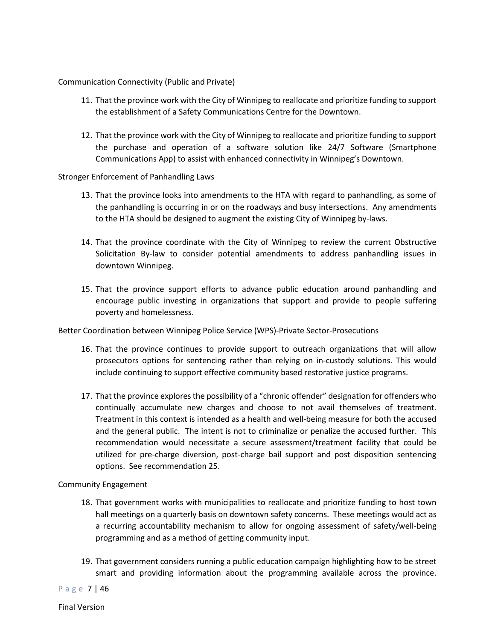#### Communication Connectivity (Public and Private)

- 11. That the province work with the City of Winnipeg to reallocate and prioritize funding to support the establishment of a Safety Communications Centre for the Downtown.
- 12. That the province work with the City of Winnipeg to reallocate and prioritize funding to support the purchase and operation of a software solution like 24/7 Software (Smartphone Communications App) to assist with enhanced connectivity in Winnipeg's Downtown.

#### Stronger Enforcement of Panhandling Laws

- 13. That the province looks into amendments to the HTA with regard to panhandling, as some of the panhandling is occurring in or on the roadways and busy intersections. Any amendments to the HTA should be designed to augment the existing City of Winnipeg by-laws.
- 14. That the province coordinate with the City of Winnipeg to review the current Obstructive Solicitation By-law to consider potential amendments to address panhandling issues in downtown Winnipeg.
- 15. That the province support efforts to advance public education around panhandling and encourage public investing in organizations that support and provide to people suffering poverty and homelessness.

Better Coordination between Winnipeg Police Service (WPS)-Private Sector-Prosecutions

- 16. That the province continues to provide support to outreach organizations that will allow prosecutors options for sentencing rather than relying on in-custody solutions. This would include continuing to support effective community based restorative justice programs.
- 17. That the province explores the possibility of a "chronic offender" designation for offenders who continually accumulate new charges and choose to not avail themselves of treatment. Treatment in this context is intended as a health and well-being measure for both the accused and the general public. The intent is not to criminalize or penalize the accused further. This recommendation would necessitate a secure assessment/treatment facility that could be utilized for pre-charge diversion, post-charge bail support and post disposition sentencing options. See recommendation 25.

#### Community Engagement

- 18. That government works with municipalities to reallocate and prioritize funding to host town hall meetings on a quarterly basis on downtown safety concerns. These meetings would act as a recurring accountability mechanism to allow for ongoing assessment of safety/well-being programming and as a method of getting community input.
- 19. That government considers running a public education campaign highlighting how to be street smart and providing information about the programming available across the province.

Page 7 | 46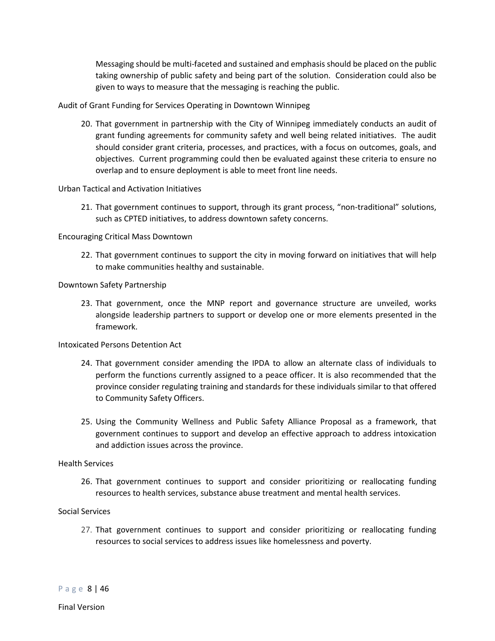Messaging should be multi-faceted and sustained and emphasis should be placed on the public taking ownership of public safety and being part of the solution. Consideration could also be given to ways to measure that the messaging is reaching the public.

Audit of Grant Funding for Services Operating in Downtown Winnipeg

20. That government in partnership with the City of Winnipeg immediately conducts an audit of grant funding agreements for community safety and well being related initiatives. The audit should consider grant criteria, processes, and practices, with a focus on outcomes, goals, and objectives. Current programming could then be evaluated against these criteria to ensure no overlap and to ensure deployment is able to meet front line needs.

#### Urban Tactical and Activation Initiatives

21. That government continues to support, through its grant process, "non-traditional" solutions, such as CPTED initiatives, to address downtown safety concerns.

#### Encouraging Critical Mass Downtown

22. That government continues to support the city in moving forward on initiatives that will help to make communities healthy and sustainable.

#### Downtown Safety Partnership

23. That government, once the MNP report and governance structure are unveiled, works alongside leadership partners to support or develop one or more elements presented in the framework.

#### Intoxicated Persons Detention Act

- 24. That government consider amending the IPDA to allow an alternate class of individuals to perform the functions currently assigned to a peace officer. It is also recommended that the province consider regulating training and standards for these individuals similar to that offered to Community Safety Officers.
- 25. Using the Community Wellness and Public Safety Alliance Proposal as a framework, that government continues to support and develop an effective approach to address intoxication and addiction issues across the province.

#### Health Services

26. That government continues to support and consider prioritizing or reallocating funding resources to health services, substance abuse treatment and mental health services.

#### Social Services

27. That government continues to support and consider prioritizing or reallocating funding resources to social services to address issues like homelessness and poverty.

Page 8 | 46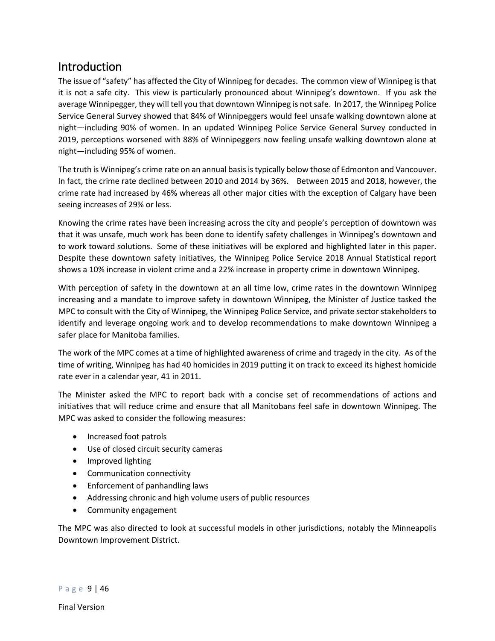## <span id="page-8-0"></span>Introduction

The issue of "safety" has affected the City of Winnipeg for decades. The common view of Winnipeg is that it is not a safe city. This view is particularly pronounced about Winnipeg's downtown. If you ask the average Winnipegger, they will tell you that downtown Winnipeg is not safe. In 2017, the Winnipeg Police Service General Survey showed that 84% of Winnipeggers would feel unsafe walking downtown alone at night—including 90% of women. In an updated Winnipeg Police Service General Survey conducted in 2019, perceptions worsened with 88% of Winnipeggers now feeling unsafe walking downtown alone at night—including 95% of women.

The truth is Winnipeg's crime rate on an annual basis is typically below those of Edmonton and Vancouver. In fact, the crime rate declined between 2010 and 2014 by 36%. Between 2015 and 2018, however, the crime rate had increased by 46% whereas all other major cities with the exception of Calgary have been seeing increases of 29% or less.

Knowing the crime rates have been increasing across the city and people's perception of downtown was that it was unsafe, much work has been done to identify safety challenges in Winnipeg's downtown and to work toward solutions. Some of these initiatives will be explored and highlighted later in this paper. Despite these downtown safety initiatives, the Winnipeg Police Service 2018 Annual Statistical report shows a 10% increase in violent crime and a 22% increase in property crime in downtown Winnipeg.

With perception of safety in the downtown at an all time low, crime rates in the downtown Winnipeg increasing and a mandate to improve safety in downtown Winnipeg, the Minister of Justice tasked the MPC to consult with the City of Winnipeg, the Winnipeg Police Service, and private sector stakeholders to identify and leverage ongoing work and to develop recommendations to make downtown Winnipeg a safer place for Manitoba families.

The work of the MPC comes at a time of highlighted awareness of crime and tragedy in the city. As of the time of writing, Winnipeg has had 40 homicides in 2019 putting it on track to exceed its highest homicide rate ever in a calendar year, 41 in 2011.

The Minister asked the MPC to report back with a concise set of recommendations of actions and initiatives that will reduce crime and ensure that all Manitobans feel safe in downtown Winnipeg. The MPC was asked to consider the following measures:

- Increased foot patrols
- Use of closed circuit security cameras
- Improved lighting
- Communication connectivity
- Enforcement of panhandling laws
- Addressing chronic and high volume users of public resources
- Community engagement

The MPC was also directed to look at successful models in other jurisdictions, notably the Minneapolis Downtown Improvement District.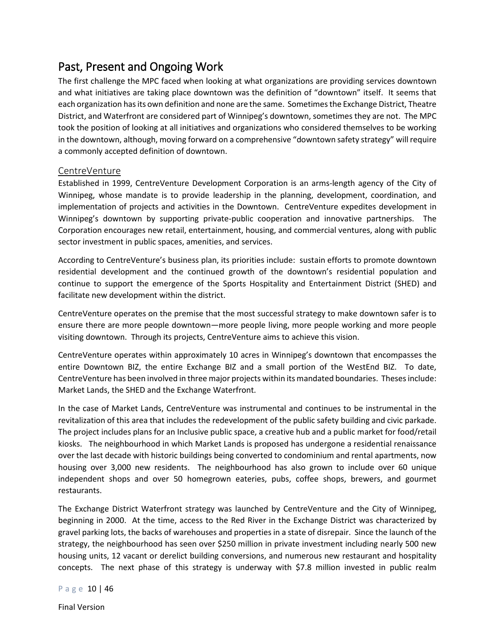## <span id="page-9-0"></span>Past, Present and Ongoing Work

The first challenge the MPC faced when looking at what organizations are providing services downtown and what initiatives are taking place downtown was the definition of "downtown" itself. It seems that each organization has its own definition and none are the same. Sometimes the Exchange District, Theatre District, and Waterfront are considered part of Winnipeg's downtown, sometimes they are not. The MPC took the position of looking at all initiatives and organizations who considered themselves to be working in the downtown, although, moving forward on a comprehensive "downtown safety strategy" will require a commonly accepted definition of downtown.

### <span id="page-9-1"></span>CentreVenture

Established in 1999, CentreVenture Development Corporation is an arms-length agency of the City of Winnipeg, whose mandate is to provide leadership in the planning, development, coordination, and implementation of projects and activities in the Downtown. CentreVenture expedites development in Winnipeg's downtown by supporting private-public cooperation and innovative partnerships. The Corporation encourages new retail, entertainment, housing, and commercial ventures, along with public sector investment in public spaces, amenities, and services.

According to CentreVenture's business plan, its priorities include: sustain efforts to promote downtown residential development and the continued growth of the downtown's residential population and continue to support the emergence of the Sports Hospitality and Entertainment District (SHED) and facilitate new development within the district.

CentreVenture operates on the premise that the most successful strategy to make downtown safer is to ensure there are more people downtown—more people living, more people working and more people visiting downtown. Through its projects, CentreVenture aims to achieve this vision.

CentreVenture operates within approximately 10 acres in Winnipeg's downtown that encompasses the entire Downtown BIZ, the entire Exchange BIZ and a small portion of the WestEnd BIZ. To date, CentreVenture has been involved in three major projects within its mandated boundaries. Theses include: Market Lands, the SHED and the Exchange Waterfront.

In the case of Market Lands, CentreVenture was instrumental and continues to be instrumental in the revitalization of this area that includes the redevelopment of the public safety building and civic parkade. The project includes plans for an Inclusive public space, a creative hub and a public market for food/retail kiosks. The neighbourhood in which Market Lands is proposed has undergone a residential renaissance over the last decade with historic buildings being converted to condominium and rental apartments, now housing over 3,000 new residents. The neighbourhood has also grown to include over 60 unique independent shops and over 50 homegrown eateries, pubs, coffee shops, brewers, and gourmet restaurants.

The Exchange District Waterfront strategy was launched by CentreVenture and the City of Winnipeg, beginning in 2000. At the time, access to the Red River in the Exchange District was characterized by gravel parking lots, the backs of warehouses and properties in a state of disrepair. Since the launch of the strategy, the neighbourhood has seen over \$250 million in private investment including nearly 500 new housing units, 12 vacant or derelict building conversions, and numerous new restaurant and hospitality concepts. The next phase of this strategy is underway with \$7.8 million invested in public realm

Page 10 | 46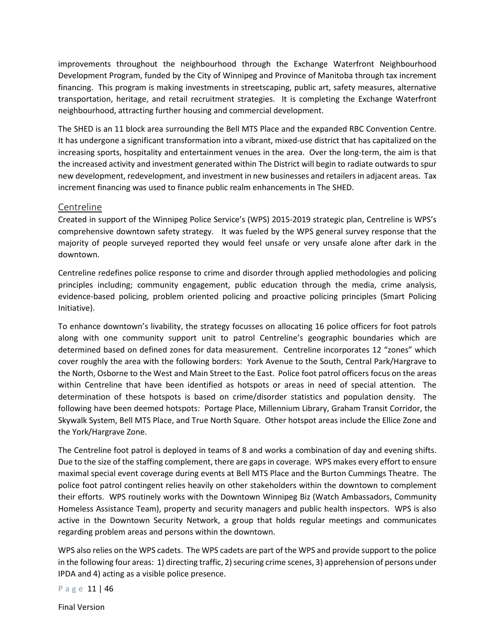improvements throughout the neighbourhood through the Exchange Waterfront Neighbourhood Development Program, funded by the City of Winnipeg and Province of Manitoba through tax increment financing. This program is making investments in streetscaping, public art, safety measures, alternative transportation, heritage, and retail recruitment strategies. It is completing the Exchange Waterfront neighbourhood, attracting further housing and commercial development.

The SHED is an 11 block area surrounding the Bell MTS Place and the expanded RBC Convention Centre. It has undergone a significant transformation into a vibrant, mixed-use district that has capitalized on the increasing sports, hospitality and entertainment venues in the area. Over the long-term, the aim is that the increased activity and investment generated within The District will begin to radiate outwards to spur new development, redevelopment, and investment in new businesses and retailers in adjacent areas. Tax increment financing was used to finance public realm enhancements in The SHED.

#### <span id="page-10-0"></span>Centreline

Created in support of the Winnipeg Police Service's (WPS) 2015-2019 strategic plan, Centreline is WPS's comprehensive downtown safety strategy. It was fueled by the WPS general survey response that the majority of people surveyed reported they would feel unsafe or very unsafe alone after dark in the downtown.

Centreline redefines police response to crime and disorder through applied methodologies and policing principles including; community engagement, public education through the media, crime analysis, evidence-based policing, problem oriented policing and proactive policing principles (Smart Policing Initiative).

To enhance downtown's livability, the strategy focusses on allocating 16 police officers for foot patrols along with one community support unit to patrol Centreline's geographic boundaries which are determined based on defined zones for data measurement. Centreline incorporates 12 "zones" which cover roughly the area with the following borders: York Avenue to the South, Central Park/Hargrave to the North, Osborne to the West and Main Street to the East. Police foot patrol officers focus on the areas within Centreline that have been identified as hotspots or areas in need of special attention. The determination of these hotspots is based on crime/disorder statistics and population density. The following have been deemed hotspots: Portage Place, Millennium Library, Graham Transit Corridor, the Skywalk System, Bell MTS Place, and True North Square. Other hotspot areas include the Ellice Zone and the York/Hargrave Zone.

The Centreline foot patrol is deployed in teams of 8 and works a combination of day and evening shifts. Due to the size of the staffing complement, there are gaps in coverage. WPS makes every effort to ensure maximal special event coverage during events at Bell MTS Place and the Burton Cummings Theatre. The police foot patrol contingent relies heavily on other stakeholders within the downtown to complement their efforts. WPS routinely works with the Downtown Winnipeg Biz (Watch Ambassadors, Community Homeless Assistance Team), property and security managers and public health inspectors. WPS is also active in the Downtown Security Network, a group that holds regular meetings and communicates regarding problem areas and persons within the downtown.

WPS also relies on the WPS cadets. The WPS cadets are part of the WPS and provide support to the police in the following four areas: 1) directing traffic, 2) securing crime scenes, 3) apprehension of persons under IPDA and 4) acting as a visible police presence.

Page 11 | 46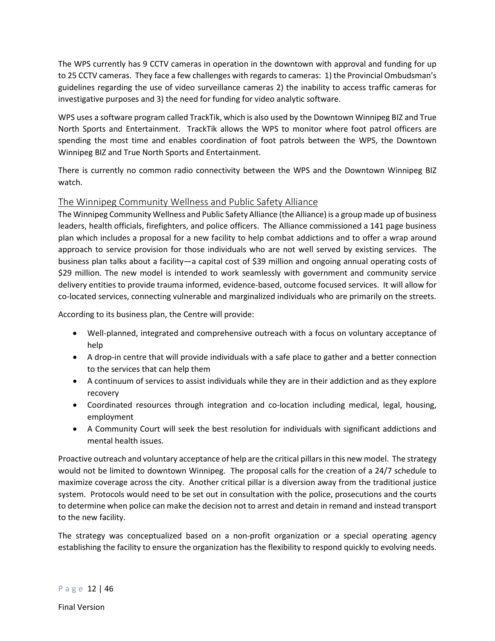The WPS currently has 9 CCTV cameras in operation in the downtown with approval and funding for up to 25 CCTV cameras. They face a few challenges with regards to cameras: 1) the Provincial Ombudsman's guidelines regarding the use of video surveillance cameras 2) the inability to access traffic cameras for investigative purposes and 3) the need for funding for video analytic software.

WPS uses a software program called TrackTik, which is also used by the Downtown Winnipeg BIZ and True North Sports and Entertainment. TrackTik allows the WPS to monitor where foot patrol officers are spending the most time and enables coordination of foot patrols between the WPS, the Downtown Winnipeg BIZ and True North Sports and Entertainment.

There is currently no common radio connectivity between the WPS and the Downtown Winnipeg BIZ watch.

## <span id="page-11-0"></span>The Winnipeg Community Wellness and Public Safety Alliance

The Winnipeg Community Wellness and Public Safety Alliance (the Alliance) is a group made up of business leaders, health officials, firefighters, and police officers. The Alliance commissioned a 141 page business plan which includes a proposal for a new facility to help combat addictions and to offer a wrap around approach to service provision for those individuals who are not well served by existing services. The business plan talks about a facility—a capital cost of \$39 million and ongoing annual operating costs of \$29 million. The new model is intended to work seamlessly with government and community service delivery entities to provide trauma informed, evidence-based, outcome focused services. It will allow for co-located services, connecting vulnerable and marginalized individuals who are primarily on the streets.

According to its business plan, the Centre will provide:

- Well-planned, integrated and comprehensive outreach with a focus on voluntary acceptance of help
- A drop-in centre that will provide individuals with a safe place to gather and a better connection to the services that can help them
- A continuum of services to assist individuals while they are in their addiction and as they explore recovery
- Coordinated resources through integration and co-location including medical, legal, housing, employment
- A Community Court will seek the best resolution for individuals with significant addictions and mental health issues.

Proactive outreach and voluntary acceptance of help are the critical pillars in this new model. The strategy would not be limited to downtown Winnipeg. The proposal calls for the creation of a 24/7 schedule to maximize coverage across the city. Another critical pillar is a diversion away from the traditional justice system. Protocols would need to be set out in consultation with the police, prosecutions and the courts to determine when police can make the decision not to arrest and detain in remand and instead transport to the new facility.

The strategy was conceptualized based on a non-profit organization or a special operating agency establishing the facility to ensure the organization has the flexibility to respond quickly to evolving needs.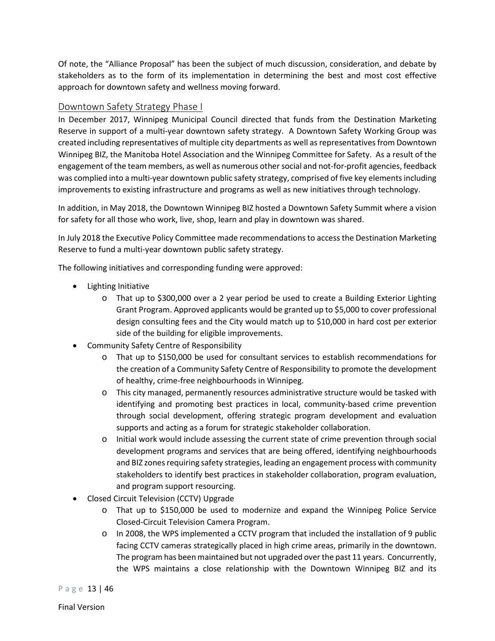Of note, the "Alliance Proposal" has been the subject of much discussion, consideration, and debate by stakeholders as to the form of its implementation in determining the best and most cost effective approach for downtown safety and wellness moving forward.

## <span id="page-12-0"></span>Downtown Safety Strategy Phase I

In December 2017, Winnipeg Municipal Council directed that funds from the Destination Marketing Reserve in support of a multi-year downtown safety strategy. A Downtown Safety Working Group was created including representatives of multiple city departments as well as representatives from Downtown Winnipeg BIZ, the Manitoba Hotel Association and the Winnipeg Committee for Safety. As a result of the engagement of the team members, as well as numerous other social and not-for-profit agencies, feedback was complied into a multi-year downtown public safety strategy, comprised of five key elements including improvements to existing infrastructure and programs as well as new initiatives through technology.

In addition, in May 2018, the Downtown Winnipeg BIZ hosted a Downtown Safety Summit where a vision for safety for all those who work, live, shop, learn and play in downtown was shared.

In July 2018 the Executive Policy Committee made recommendations to access the Destination Marketing Reserve to fund a multi-year downtown public safety strategy.

The following initiatives and corresponding funding were approved:

- Lighting Initiative
	- o That up to \$300,000 over a 2 year period be used to create a Building Exterior Lighting Grant Program. Approved applicants would be granted up to \$5,000 to cover professional design consulting fees and the City would match up to \$10,000 in hard cost per exterior side of the building for eligible improvements.
- Community Safety Centre of Responsibility
	- o That up to \$150,000 be used for consultant services to establish recommendations for the creation of a Community Safety Centre of Responsibility to promote the development of healthy, crime-free neighbourhoods in Winnipeg.
	- o This city managed, permanently resources administrative structure would be tasked with identifying and promoting best practices in local, community-based crime prevention through social development, offering strategic program development and evaluation supports and acting as a forum for strategic stakeholder collaboration.
	- o Initial work would include assessing the current state of crime prevention through social development programs and services that are being offered, identifying neighbourhoods and BIZ zones requiring safety strategies, leading an engagement process with community stakeholders to identify best practices in stakeholder collaboration, program evaluation, and program support resourcing.
- Closed Circuit Television (CCTV) Upgrade
	- o That up to \$150,000 be used to modernize and expand the Winnipeg Police Service Closed-Circuit Television Camera Program.
	- $\circ$  In 2008, the WPS implemented a CCTV program that included the installation of 9 public facing CCTV cameras strategically placed in high crime areas, primarily in the downtown. The program has been maintained but not upgraded over the past 11 years. Concurrently, the WPS maintains a close relationship with the Downtown Winnipeg BIZ and its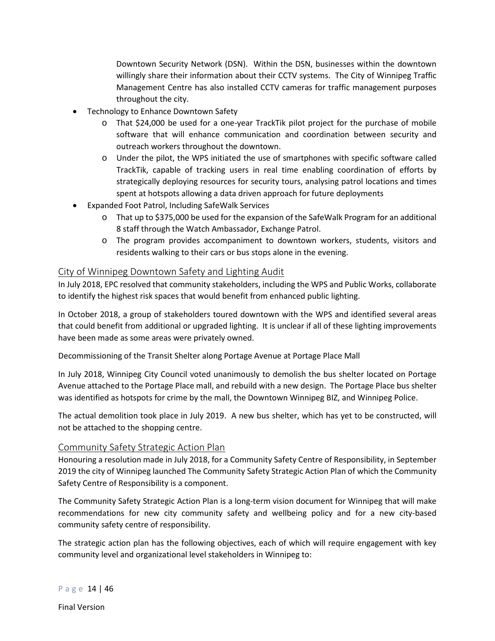Downtown Security Network (DSN). Within the DSN, businesses within the downtown willingly share their information about their CCTV systems. The City of Winnipeg Traffic Management Centre has also installed CCTV cameras for traffic management purposes throughout the city.

- Technology to Enhance Downtown Safety
	- o That \$24,000 be used for a one-year TrackTik pilot project for the purchase of mobile software that will enhance communication and coordination between security and outreach workers throughout the downtown.
	- o Under the pilot, the WPS initiated the use of smartphones with specific software called TrackTik, capable of tracking users in real time enabling coordination of efforts by strategically deploying resources for security tours, analysing patrol locations and times spent at hotspots allowing a data driven approach for future deployments
- Expanded Foot Patrol, Including SafeWalk Services
	- o That up to \$375,000 be used for the expansion of the SafeWalk Program for an additional 8 staff through the Watch Ambassador, Exchange Patrol.
	- o The program provides accompaniment to downtown workers, students, visitors and residents walking to their cars or bus stops alone in the evening.

### <span id="page-13-0"></span>City of Winnipeg Downtown Safety and Lighting Audit

In July 2018, EPC resolved that community stakeholders, including the WPS and Public Works, collaborate to identify the highest risk spaces that would benefit from enhanced public lighting.

In October 2018, a group of stakeholders toured downtown with the WPS and identified several areas that could benefit from additional or upgraded lighting. It is unclear if all of these lighting improvements have been made as some areas were privately owned.

Decommissioning of the Transit Shelter along Portage Avenue at Portage Place Mall

In July 2018, Winnipeg City Council voted unanimously to demolish the bus shelter located on Portage Avenue attached to the Portage Place mall, and rebuild with a new design. The Portage Place bus shelter was identified as hotspots for crime by the mall, the Downtown Winnipeg BIZ, and Winnipeg Police.

The actual demolition took place in July 2019. A new bus shelter, which has yet to be constructed, will not be attached to the shopping centre.

### <span id="page-13-1"></span>Community Safety Strategic Action Plan

Honouring a resolution made in July 2018, for a Community Safety Centre of Responsibility, in September 2019 the city of Winnipeg launched The Community Safety Strategic Action Plan of which the Community Safety Centre of Responsibility is a component.

The Community Safety Strategic Action Plan is a long-term vision document for Winnipeg that will make recommendations for new city community safety and wellbeing policy and for a new city-based community safety centre of responsibility.

The strategic action plan has the following objectives, each of which will require engagement with key community level and organizational level stakeholders in Winnipeg to: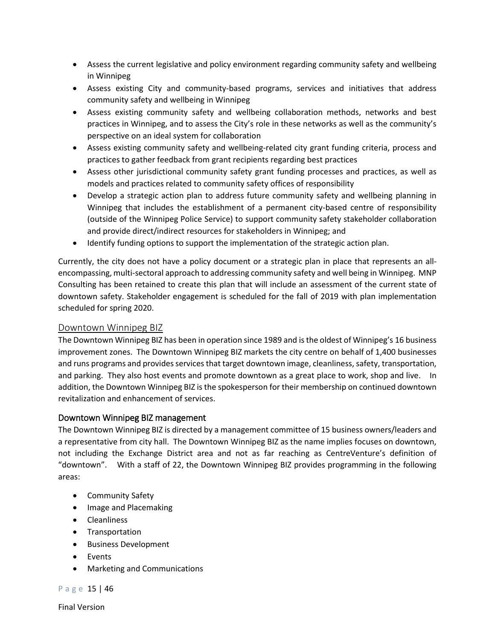- Assess the current legislative and policy environment regarding community safety and wellbeing in Winnipeg
- Assess existing City and community-based programs, services and initiatives that address community safety and wellbeing in Winnipeg
- Assess existing community safety and wellbeing collaboration methods, networks and best practices in Winnipeg, and to assess the City's role in these networks as well as the community's perspective on an ideal system for collaboration
- Assess existing community safety and wellbeing-related city grant funding criteria, process and practices to gather feedback from grant recipients regarding best practices
- Assess other jurisdictional community safety grant funding processes and practices, as well as models and practices related to community safety offices of responsibility
- Develop a strategic action plan to address future community safety and wellbeing planning in Winnipeg that includes the establishment of a permanent city-based centre of responsibility (outside of the Winnipeg Police Service) to support community safety stakeholder collaboration and provide direct/indirect resources for stakeholders in Winnipeg; and
- Identify funding options to support the implementation of the strategic action plan.

Currently, the city does not have a policy document or a strategic plan in place that represents an allencompassing, multi-sectoral approach to addressing community safety and well being in Winnipeg. MNP Consulting has been retained to create this plan that will include an assessment of the current state of downtown safety. Stakeholder engagement is scheduled for the fall of 2019 with plan implementation scheduled for spring 2020.

## <span id="page-14-0"></span>Downtown Winnipeg BIZ

The Downtown Winnipeg BIZ has been in operation since 1989 and is the oldest of Winnipeg's 16 business improvement zones. The Downtown Winnipeg BIZ markets the city centre on behalf of 1,400 businesses and runs programs and provides services that target downtown image, cleanliness, safety, transportation, and parking. They also host events and promote downtown as a great place to work, shop and live. In addition, the Downtown Winnipeg BIZ is the spokesperson for their membership on continued downtown revitalization and enhancement of services.

### <span id="page-14-1"></span>Downtown Winnipeg BIZ management

The Downtown Winnipeg BIZ is directed by a management committee of 15 business owners/leaders and a representative from city hall. The Downtown Winnipeg BIZ as the name implies focuses on downtown, not including the Exchange District area and not as far reaching as CentreVenture's definition of "downtown". With a staff of 22, the Downtown Winnipeg BIZ provides programming in the following areas:

- Community Safety
- Image and Placemaking
- Cleanliness
- Transportation
- Business Development
- Events
- Marketing and Communications

Page 15 | 46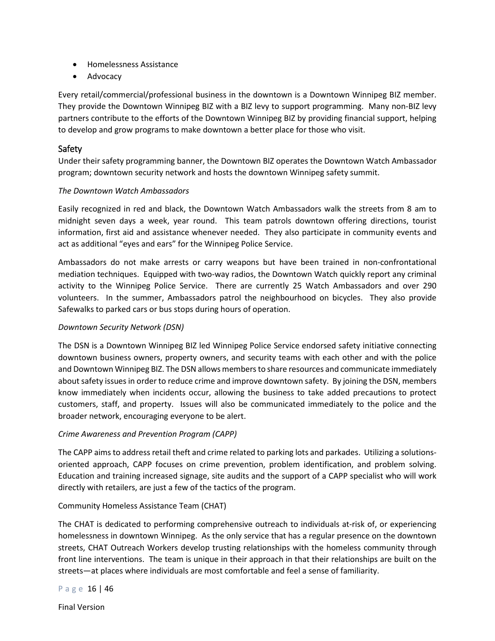- Homelessness Assistance
- Advocacy

Every retail/commercial/professional business in the downtown is a Downtown Winnipeg BIZ member. They provide the Downtown Winnipeg BIZ with a BIZ levy to support programming. Many non-BIZ levy partners contribute to the efforts of the Downtown Winnipeg BIZ by providing financial support, helping to develop and grow programs to make downtown a better place for those who visit.

#### <span id="page-15-0"></span>Safety

Under their safety programming banner, the Downtown BIZ operates the Downtown Watch Ambassador program; downtown security network and hosts the downtown Winnipeg safety summit.

#### *The Downtown Watch Ambassadors*

Easily recognized in red and black, the Downtown Watch Ambassadors walk the streets from 8 am to midnight seven days a week, year round. This team patrols downtown offering directions, tourist information, first aid and assistance whenever needed. They also participate in community events and act as additional "eyes and ears" for the Winnipeg Police Service.

Ambassadors do not make arrests or carry weapons but have been trained in non-confrontational mediation techniques. Equipped with two-way radios, the Downtown Watch quickly report any criminal activity to the Winnipeg Police Service. There are currently 25 Watch Ambassadors and over 290 volunteers. In the summer, Ambassadors patrol the neighbourhood on bicycles. They also provide Safewalks to parked cars or bus stops during hours of operation.

#### *Downtown Security Network (DSN)*

The DSN is a Downtown Winnipeg BIZ led Winnipeg Police Service endorsed safety initiative connecting downtown business owners, property owners, and security teams with each other and with the police and Downtown Winnipeg BIZ. The DSN allows members to share resources and communicate immediately about safety issues in order to reduce crime and improve downtown safety. By joining the DSN, members know immediately when incidents occur, allowing the business to take added precautions to protect customers, staff, and property. Issues will also be communicated immediately to the police and the broader network, encouraging everyone to be alert.

#### *Crime Awareness and Prevention Program (CAPP)*

The CAPP aims to address retail theft and crime related to parking lots and parkades. Utilizing a solutionsoriented approach, CAPP focuses on crime prevention, problem identification, and problem solving. Education and training increased signage, site audits and the support of a CAPP specialist who will work directly with retailers, are just a few of the tactics of the program.

#### Community Homeless Assistance Team (CHAT)

The CHAT is dedicated to performing comprehensive outreach to individuals at-risk of, or experiencing homelessness in downtown Winnipeg. As the only service that has a regular presence on the downtown streets, CHAT Outreach Workers develop trusting relationships with the homeless community through front line interventions. The team is unique in their approach in that their relationships are built on the streets—at places where individuals are most comfortable and feel a sense of familiarity.

```
Page 16 | 46
```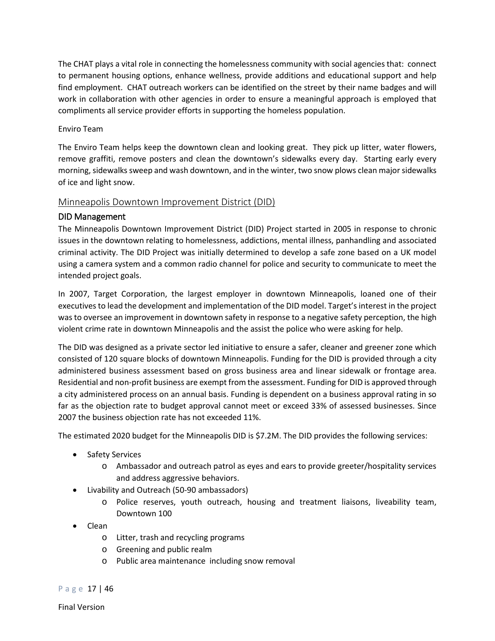The CHAT plays a vital role in connecting the homelessness community with social agencies that: connect to permanent housing options, enhance wellness, provide additions and educational support and help find employment. CHAT outreach workers can be identified on the street by their name badges and will work in collaboration with other agencies in order to ensure a meaningful approach is employed that compliments all service provider efforts in supporting the homeless population.

#### Enviro Team

The Enviro Team helps keep the downtown clean and looking great. They pick up litter, water flowers, remove graffiti, remove posters and clean the downtown's sidewalks every day. Starting early every morning, sidewalks sweep and wash downtown, and in the winter, two snow plows clean major sidewalks of ice and light snow.

### <span id="page-16-0"></span>Minneapolis Downtown Improvement District (DID)

## <span id="page-16-1"></span>DID Management

The Minneapolis Downtown Improvement District (DID) Project started in 2005 in response to chronic issues in the downtown relating to homelessness, addictions, mental illness, panhandling and associated criminal activity. The DID Project was initially determined to develop a safe zone based on a UK model using a camera system and a common radio channel for police and security to communicate to meet the intended project goals.

In 2007, Target Corporation, the largest employer in downtown Minneapolis, loaned one of their executives to lead the development and implementation of the DID model. Target's interest in the project was to oversee an improvement in downtown safety in response to a negative safety perception, the high violent crime rate in downtown Minneapolis and the assist the police who were asking for help.

The DID was designed as a private sector led initiative to ensure a safer, cleaner and greener zone which consisted of 120 square blocks of downtown Minneapolis. Funding for the DID is provided through a city administered business assessment based on gross business area and linear sidewalk or frontage area. Residential and non-profit business are exempt from the assessment. Funding for DID is approved through a city administered process on an annual basis. Funding is dependent on a business approval rating in so far as the objection rate to budget approval cannot meet or exceed 33% of assessed businesses. Since 2007 the business objection rate has not exceeded 11%.

The estimated 2020 budget for the Minneapolis DID is \$7.2M. The DID provides the following services:

- Safety Services
	- o Ambassador and outreach patrol as eyes and ears to provide greeter/hospitality services and address aggressive behaviors.
- Livability and Outreach (50-90 ambassadors)
	- o Police reserves, youth outreach, housing and treatment liaisons, liveability team, Downtown 100
- Clean
	- o Litter, trash and recycling programs
	- o Greening and public realm
	- o Public area maintenance including snow removal

Page 17 | 46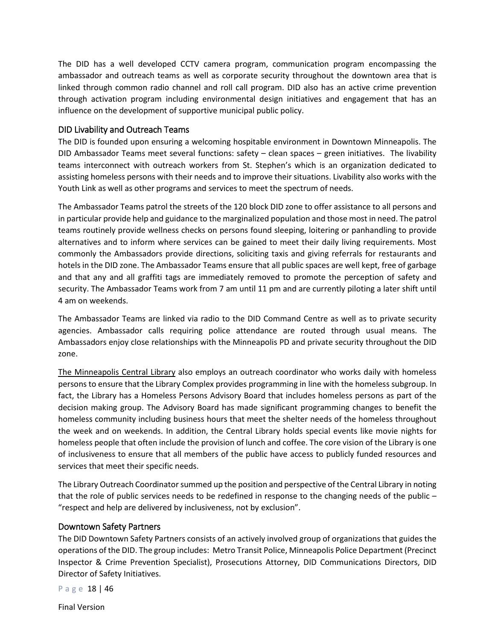The DID has a well developed CCTV camera program, communication program encompassing the ambassador and outreach teams as well as corporate security throughout the downtown area that is linked through common radio channel and roll call program. DID also has an active crime prevention through activation program including environmental design initiatives and engagement that has an influence on the development of supportive municipal public policy.

#### <span id="page-17-0"></span>DID Livability and Outreach Teams

The DID is founded upon ensuring a welcoming hospitable environment in Downtown Minneapolis. The DID Ambassador Teams meet several functions: safety – clean spaces – green initiatives. The livability teams interconnect with outreach workers from St. Stephen's which is an organization dedicated to assisting homeless persons with their needs and to improve their situations. Livability also works with the Youth Link as well as other programs and services to meet the spectrum of needs.

The Ambassador Teams patrol the streets of the 120 block DID zone to offer assistance to all persons and in particular provide help and guidance to the marginalized population and those most in need. The patrol teams routinely provide wellness checks on persons found sleeping, loitering or panhandling to provide alternatives and to inform where services can be gained to meet their daily living requirements. Most commonly the Ambassadors provide directions, soliciting taxis and giving referrals for restaurants and hotels in the DID zone. The Ambassador Teams ensure that all public spaces are well kept, free of garbage and that any and all graffiti tags are immediately removed to promote the perception of safety and security. The Ambassador Teams work from 7 am until 11 pm and are currently piloting a later shift until 4 am on weekends.

The Ambassador Teams are linked via radio to the DID Command Centre as well as to private security agencies. Ambassador calls requiring police attendance are routed through usual means. The Ambassadors enjoy close relationships with the Minneapolis PD and private security throughout the DID zone.

The Minneapolis Central Library also employs an outreach coordinator who works daily with homeless persons to ensure that the Library Complex provides programming in line with the homeless subgroup. In fact, the Library has a Homeless Persons Advisory Board that includes homeless persons as part of the decision making group. The Advisory Board has made significant programming changes to benefit the homeless community including business hours that meet the shelter needs of the homeless throughout the week and on weekends. In addition, the Central Library holds special events like movie nights for homeless people that often include the provision of lunch and coffee. The core vision of the Library is one of inclusiveness to ensure that all members of the public have access to publicly funded resources and services that meet their specific needs.

The Library Outreach Coordinator summed up the position and perspective of the Central Library in noting that the role of public services needs to be redefined in response to the changing needs of the public – "respect and help are delivered by inclusiveness, not by exclusion".

#### <span id="page-17-1"></span>Downtown Safety Partners

The DID Downtown Safety Partners consists of an actively involved group of organizations that guides the operations of the DID. The group includes: Metro Transit Police, Minneapolis Police Department (Precinct Inspector & Crime Prevention Specialist), Prosecutions Attorney, DID Communications Directors, DID Director of Safety Initiatives.

Page 18 | 46

Final Version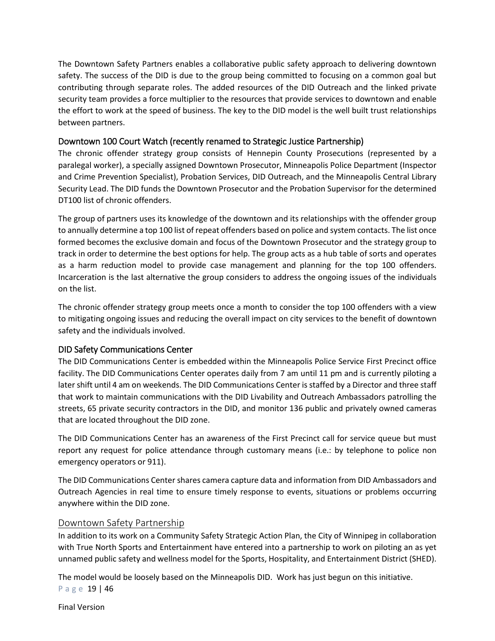The Downtown Safety Partners enables a collaborative public safety approach to delivering downtown safety. The success of the DID is due to the group being committed to focusing on a common goal but contributing through separate roles. The added resources of the DID Outreach and the linked private security team provides a force multiplier to the resources that provide services to downtown and enable the effort to work at the speed of business. The key to the DID model is the well built trust relationships between partners.

## <span id="page-18-0"></span>Downtown 100 Court Watch (recently renamed to Strategic Justice Partnership)

The chronic offender strategy group consists of Hennepin County Prosecutions (represented by a paralegal worker), a specially assigned Downtown Prosecutor, Minneapolis Police Department (Inspector and Crime Prevention Specialist), Probation Services, DID Outreach, and the Minneapolis Central Library Security Lead. The DID funds the Downtown Prosecutor and the Probation Supervisor for the determined DT100 list of chronic offenders.

The group of partners uses its knowledge of the downtown and its relationships with the offender group to annually determine a top 100 list of repeat offenders based on police and system contacts. The list once formed becomes the exclusive domain and focus of the Downtown Prosecutor and the strategy group to track in order to determine the best options for help. The group acts as a hub table of sorts and operates as a harm reduction model to provide case management and planning for the top 100 offenders. Incarceration is the last alternative the group considers to address the ongoing issues of the individuals on the list.

The chronic offender strategy group meets once a month to consider the top 100 offenders with a view to mitigating ongoing issues and reducing the overall impact on city services to the benefit of downtown safety and the individuals involved.

### <span id="page-18-1"></span>DID Safety Communications Center

The DID Communications Center is embedded within the Minneapolis Police Service First Precinct office facility. The DID Communications Center operates daily from 7 am until 11 pm and is currently piloting a later shift until 4 am on weekends. The DID Communications Center is staffed by a Director and three staff that work to maintain communications with the DID Livability and Outreach Ambassadors patrolling the streets, 65 private security contractors in the DID, and monitor 136 public and privately owned cameras that are located throughout the DID zone.

The DID Communications Center has an awareness of the First Precinct call for service queue but must report any request for police attendance through customary means (i.e.: by telephone to police non emergency operators or 911).

The DID Communications Center shares camera capture data and information from DID Ambassadors and Outreach Agencies in real time to ensure timely response to events, situations or problems occurring anywhere within the DID zone.

### <span id="page-18-2"></span>Downtown Safety Partnership

In addition to its work on a Community Safety Strategic Action Plan, the City of Winnipeg in collaboration with True North Sports and Entertainment have entered into a partnership to work on piloting an as yet unnamed public safety and wellness model for the Sports, Hospitality, and Entertainment District (SHED).

Page 19 | 46 The model would be loosely based on the Minneapolis DID. Work has just begun on this initiative.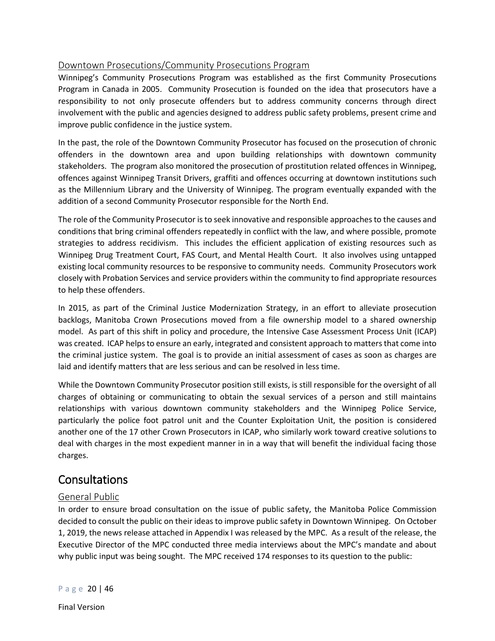## <span id="page-19-0"></span>Downtown Prosecutions/Community Prosecutions Program

Winnipeg's Community Prosecutions Program was established as the first Community Prosecutions Program in Canada in 2005. Community Prosecution is founded on the idea that prosecutors have a responsibility to not only prosecute offenders but to address community concerns through direct involvement with the public and agencies designed to address public safety problems, present crime and improve public confidence in the justice system.

In the past, the role of the Downtown Community Prosecutor has focused on the prosecution of chronic offenders in the downtown area and upon building relationships with downtown community stakeholders. The program also monitored the prosecution of prostitution related offences in Winnipeg, offences against Winnipeg Transit Drivers, graffiti and offences occurring at downtown institutions such as the Millennium Library and the University of Winnipeg. The program eventually expanded with the addition of a second Community Prosecutor responsible for the North End.

The role of the Community Prosecutor is to seek innovative and responsible approaches to the causes and conditions that bring criminal offenders repeatedly in conflict with the law, and where possible, promote strategies to address recidivism. This includes the efficient application of existing resources such as Winnipeg Drug Treatment Court, FAS Court, and Mental Health Court. It also involves using untapped existing local community resources to be responsive to community needs. Community Prosecutors work closely with Probation Services and service providers within the community to find appropriate resources to help these offenders.

In 2015, as part of the Criminal Justice Modernization Strategy, in an effort to alleviate prosecution backlogs, Manitoba Crown Prosecutions moved from a file ownership model to a shared ownership model. As part of this shift in policy and procedure, the Intensive Case Assessment Process Unit (ICAP) was created. ICAP helps to ensure an early, integrated and consistent approach to matters that come into the criminal justice system. The goal is to provide an initial assessment of cases as soon as charges are laid and identify matters that are less serious and can be resolved in less time.

While the Downtown Community Prosecutor position still exists, is still responsible for the oversight of all charges of obtaining or communicating to obtain the sexual services of a person and still maintains relationships with various downtown community stakeholders and the Winnipeg Police Service, particularly the police foot patrol unit and the Counter Exploitation Unit, the position is considered another one of the 17 other Crown Prosecutors in ICAP, who similarly work toward creative solutions to deal with charges in the most expedient manner in in a way that will benefit the individual facing those charges.

## <span id="page-19-1"></span>**Consultations**

## <span id="page-19-2"></span>General Public

In order to ensure broad consultation on the issue of public safety, the Manitoba Police Commission decided to consult the public on their ideas to improve public safety in Downtown Winnipeg. On October 1, 2019, the news release attached in Appendix I was released by the MPC. As a result of the release, the Executive Director of the MPC conducted three media interviews about the MPC's mandate and about why public input was being sought. The MPC received 174 responses to its question to the public: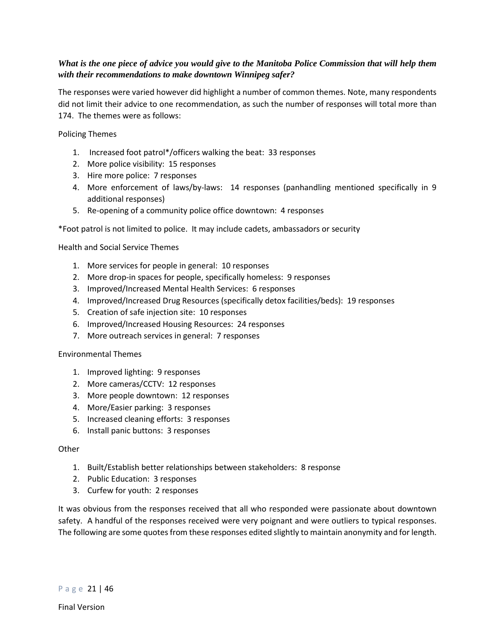### *What is the one piece of advice you would give to the Manitoba Police Commission that will help them with their recommendations to make downtown Winnipeg safer?*

The responses were varied however did highlight a number of common themes. Note, many respondents did not limit their advice to one recommendation, as such the number of responses will total more than 174. The themes were as follows:

Policing Themes

- 1. Increased foot patrol\*/officers walking the beat: 33 responses
- 2. More police visibility: 15 responses
- 3. Hire more police: 7 responses
- 4. More enforcement of laws/by-laws: 14 responses (panhandling mentioned specifically in 9 additional responses)
- 5. Re-opening of a community police office downtown: 4 responses

\*Foot patrol is not limited to police. It may include cadets, ambassadors or security

Health and Social Service Themes

- 1. More services for people in general: 10 responses
- 2. More drop-in spaces for people, specifically homeless: 9 responses
- 3. Improved/Increased Mental Health Services: 6 responses
- 4. Improved/Increased Drug Resources (specifically detox facilities/beds): 19 responses
- 5. Creation of safe injection site: 10 responses
- 6. Improved/Increased Housing Resources: 24 responses
- 7. More outreach services in general: 7 responses

#### Environmental Themes

- 1. Improved lighting: 9 responses
- 2. More cameras/CCTV: 12 responses
- 3. More people downtown: 12 responses
- 4. More/Easier parking: 3 responses
- 5. Increased cleaning efforts: 3 responses
- 6. Install panic buttons: 3 responses

#### **Other**

- 1. Built/Establish better relationships between stakeholders: 8 response
- 2. Public Education: 3 responses
- 3. Curfew for youth: 2 responses

It was obvious from the responses received that all who responded were passionate about downtown safety. A handful of the responses received were very poignant and were outliers to typical responses. The following are some quotes from these responses edited slightly to maintain anonymity and for length.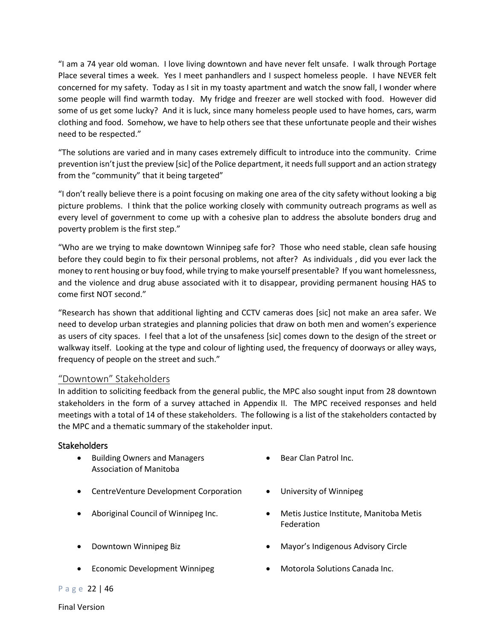"I am a 74 year old woman. I love living downtown and have never felt unsafe. I walk through Portage Place several times a week. Yes I meet panhandlers and I suspect homeless people. I have NEVER felt concerned for my safety. Today as I sit in my toasty apartment and watch the snow fall, I wonder where some people will find warmth today. My fridge and freezer are well stocked with food. However did some of us get some lucky? And it is luck, since many homeless people used to have homes, cars, warm clothing and food. Somehow, we have to help others see that these unfortunate people and their wishes need to be respected."

"The solutions are varied and in many cases extremely difficult to introduce into the community. Crime prevention isn't just the preview [sic] of the Police department, it needs full support and an action strategy from the "community" that it being targeted"

"I don't really believe there is a point focusing on making one area of the city safety without looking a big picture problems. I think that the police working closely with community outreach programs as well as every level of government to come up with a cohesive plan to address the absolute bonders drug and poverty problem is the first step."

"Who are we trying to make downtown Winnipeg safe for? Those who need stable, clean safe housing before they could begin to fix their personal problems, not after? As individuals , did you ever lack the money to rent housing or buy food, while trying to make yourself presentable? If you want homelessness, and the violence and drug abuse associated with it to disappear, providing permanent housing HAS to come first NOT second."

"Research has shown that additional lighting and CCTV cameras does [sic] not make an area safer. We need to develop urban strategies and planning policies that draw on both men and women's experience as users of city spaces. I feel that a lot of the unsafeness [sic] comes down to the design of the street or walkway itself. Looking at the type and colour of lighting used, the frequency of doorways or alley ways, frequency of people on the street and such."

### <span id="page-21-0"></span>"Downtown" Stakeholders

In addition to soliciting feedback from the general public, the MPC also sought input from 28 downtown stakeholders in the form of a survey attached in Appendix II. The MPC received responses and held meetings with a total of 14 of these stakeholders. The following is a list of the stakeholders contacted by the MPC and a thematic summary of the stakeholder input.

### <span id="page-21-1"></span>**Stakeholders**

- Building Owners and Managers Association of Manitoba
- CentreVenture Development Corporation University of Winnipeg
- 
- 
- Economic Development Winnipeg Motorola Solutions Canada Inc.
- Bear Clan Patrol Inc.
- 
- Aboriginal Council of Winnipeg Inc. • Metis Justice Institute, Manitoba Metis Federation
- Downtown Winnipeg Biz  **Mayor's Indigenous Advisory Circle** 
	-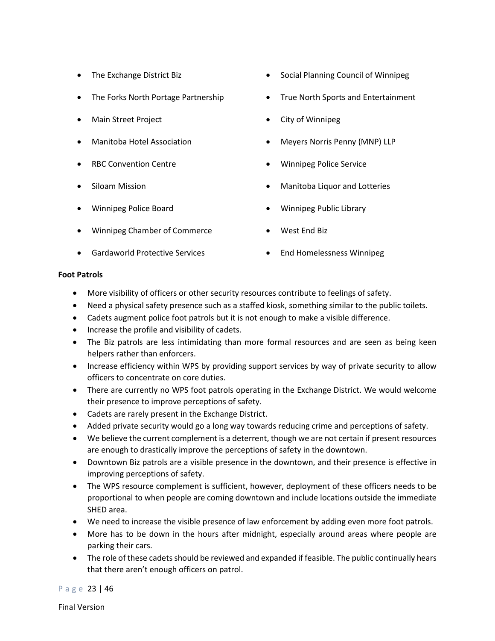- 
- 
- 
- 
- 
- 
- 
- Winnipeg Chamber of Commerce West End Biz
- Gardaworld Protective Services End Homelessness Winnipeg
- The Exchange District Biz **•** Social Planning Council of Winnipeg
	- The Forks North Portage Partnership True North Sports and Entertainment
	- Main Street Project  **City of Winnipeg**
	- Manitoba Hotel Association Meyers Norris Penny (MNP) LLP
	- RBC Convention Centre  **Winnipeg Police Service**
	- Siloam Mission  **Manitoba Liquor and Lotteries**
	- Winnipeg Police Board Winnipeg Public Library
		-
		-

#### **Foot Patrols**

- More visibility of officers or other security resources contribute to feelings of safety.
- Need a physical safety presence such as a staffed kiosk, something similar to the public toilets.
- Cadets augment police foot patrols but it is not enough to make a visible difference.
- Increase the profile and visibility of cadets.
- The Biz patrols are less intimidating than more formal resources and are seen as being keen helpers rather than enforcers.
- Increase efficiency within WPS by providing support services by way of private security to allow officers to concentrate on core duties.
- There are currently no WPS foot patrols operating in the Exchange District. We would welcome their presence to improve perceptions of safety.
- Cadets are rarely present in the Exchange District.
- Added private security would go a long way towards reducing crime and perceptions of safety.
- We believe the current complement is a deterrent, though we are not certain if present resources are enough to drastically improve the perceptions of safety in the downtown.
- Downtown Biz patrols are a visible presence in the downtown, and their presence is effective in improving perceptions of safety.
- The WPS resource complement is sufficient, however, deployment of these officers needs to be proportional to when people are coming downtown and include locations outside the immediate SHED area.
- We need to increase the visible presence of law enforcement by adding even more foot patrols.
- More has to be down in the hours after midnight, especially around areas where people are parking their cars.
- The role of these cadets should be reviewed and expanded if feasible. The public continually hears that there aren't enough officers on patrol.

Page 23 | 46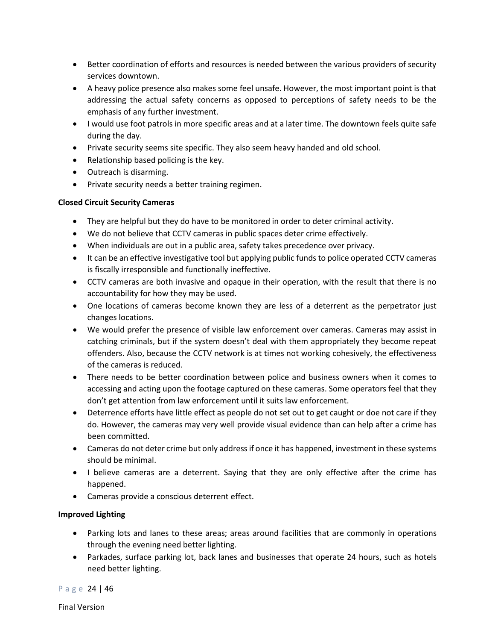- Better coordination of efforts and resources is needed between the various providers of security services downtown.
- A heavy police presence also makes some feel unsafe. However, the most important point is that addressing the actual safety concerns as opposed to perceptions of safety needs to be the emphasis of any further investment.
- I would use foot patrols in more specific areas and at a later time. The downtown feels quite safe during the day.
- Private security seems site specific. They also seem heavy handed and old school.
- Relationship based policing is the key.
- Outreach is disarming.
- Private security needs a better training regimen.

### **Closed Circuit Security Cameras**

- They are helpful but they do have to be monitored in order to deter criminal activity.
- We do not believe that CCTV cameras in public spaces deter crime effectively.
- When individuals are out in a public area, safety takes precedence over privacy.
- It can be an effective investigative tool but applying public funds to police operated CCTV cameras is fiscally irresponsible and functionally ineffective.
- CCTV cameras are both invasive and opaque in their operation, with the result that there is no accountability for how they may be used.
- One locations of cameras become known they are less of a deterrent as the perpetrator just changes locations.
- We would prefer the presence of visible law enforcement over cameras. Cameras may assist in catching criminals, but if the system doesn't deal with them appropriately they become repeat offenders. Also, because the CCTV network is at times not working cohesively, the effectiveness of the cameras is reduced.
- There needs to be better coordination between police and business owners when it comes to accessing and acting upon the footage captured on these cameras. Some operators feel that they don't get attention from law enforcement until it suits law enforcement.
- Deterrence efforts have little effect as people do not set out to get caught or doe not care if they do. However, the cameras may very well provide visual evidence than can help after a crime has been committed.
- Cameras do not deter crime but only address if once it has happened, investment in these systems should be minimal.
- I believe cameras are a deterrent. Saying that they are only effective after the crime has happened.
- Cameras provide a conscious deterrent effect.

### **Improved Lighting**

- Parking lots and lanes to these areas; areas around facilities that are commonly in operations through the evening need better lighting.
- Parkades, surface parking lot, back lanes and businesses that operate 24 hours, such as hotels need better lighting.

Page 24 | 46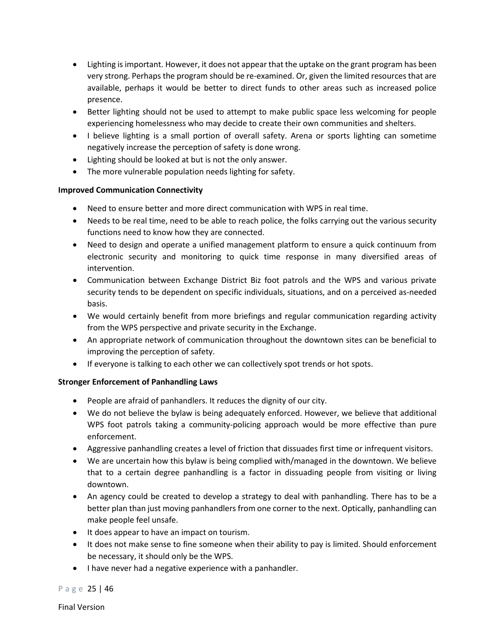- Lighting is important. However, it does not appear that the uptake on the grant program has been very strong. Perhaps the program should be re-examined. Or, given the limited resources that are available, perhaps it would be better to direct funds to other areas such as increased police presence.
- Better lighting should not be used to attempt to make public space less welcoming for people experiencing homelessness who may decide to create their own communities and shelters.
- I believe lighting is a small portion of overall safety. Arena or sports lighting can sometime negatively increase the perception of safety is done wrong.
- Lighting should be looked at but is not the only answer.
- The more vulnerable population needs lighting for safety.

#### **Improved Communication Connectivity**

- Need to ensure better and more direct communication with WPS in real time.
- Needs to be real time, need to be able to reach police, the folks carrying out the various security functions need to know how they are connected.
- Need to design and operate a unified management platform to ensure a quick continuum from electronic security and monitoring to quick time response in many diversified areas of intervention.
- Communication between Exchange District Biz foot patrols and the WPS and various private security tends to be dependent on specific individuals, situations, and on a perceived as-needed basis.
- We would certainly benefit from more briefings and regular communication regarding activity from the WPS perspective and private security in the Exchange.
- An appropriate network of communication throughout the downtown sites can be beneficial to improving the perception of safety.
- If everyone is talking to each other we can collectively spot trends or hot spots.

#### **Stronger Enforcement of Panhandling Laws**

- People are afraid of panhandlers. It reduces the dignity of our city.
- We do not believe the bylaw is being adequately enforced. However, we believe that additional WPS foot patrols taking a community-policing approach would be more effective than pure enforcement.
- Aggressive panhandling creates a level of friction that dissuades first time or infrequent visitors.
- We are uncertain how this bylaw is being complied with/managed in the downtown. We believe that to a certain degree panhandling is a factor in dissuading people from visiting or living downtown.
- An agency could be created to develop a strategy to deal with panhandling. There has to be a better plan than just moving panhandlers from one corner to the next. Optically, panhandling can make people feel unsafe.
- It does appear to have an impact on tourism.
- It does not make sense to fine someone when their ability to pay is limited. Should enforcement be necessary, it should only be the WPS.
- I have never had a negative experience with a panhandler.

Page 25 | 46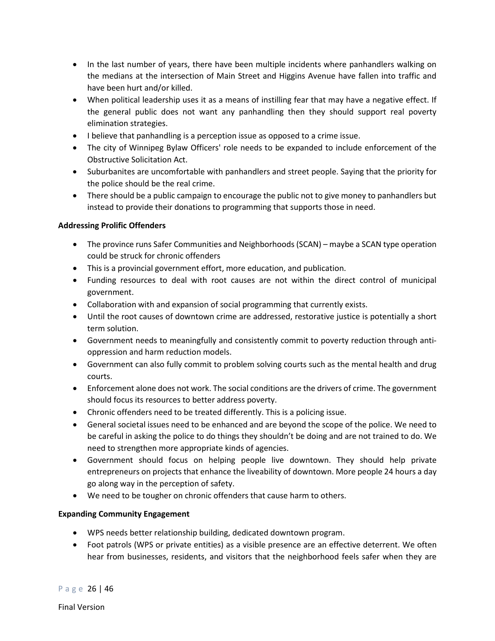- In the last number of years, there have been multiple incidents where panhandlers walking on the medians at the intersection of Main Street and Higgins Avenue have fallen into traffic and have been hurt and/or killed.
- When political leadership uses it as a means of instilling fear that may have a negative effect. If the general public does not want any panhandling then they should support real poverty elimination strategies.
- I believe that panhandling is a perception issue as opposed to a crime issue.
- The city of Winnipeg Bylaw Officers' role needs to be expanded to include enforcement of the Obstructive Solicitation Act.
- Suburbanites are uncomfortable with panhandlers and street people. Saying that the priority for the police should be the real crime.
- There should be a public campaign to encourage the public not to give money to panhandlers but instead to provide their donations to programming that supports those in need.

### **Addressing Prolific Offenders**

- The province runs Safer Communities and Neighborhoods (SCAN) maybe a SCAN type operation could be struck for chronic offenders
- This is a provincial government effort, more education, and publication.
- Funding resources to deal with root causes are not within the direct control of municipal government.
- Collaboration with and expansion of social programming that currently exists.
- Until the root causes of downtown crime are addressed, restorative justice is potentially a short term solution.
- Government needs to meaningfully and consistently commit to poverty reduction through antioppression and harm reduction models.
- Government can also fully commit to problem solving courts such as the mental health and drug courts.
- Enforcement alone does not work. The social conditions are the drivers of crime. The government should focus its resources to better address poverty.
- Chronic offenders need to be treated differently. This is a policing issue.
- General societal issues need to be enhanced and are beyond the scope of the police. We need to be careful in asking the police to do things they shouldn't be doing and are not trained to do. We need to strengthen more appropriate kinds of agencies.
- Government should focus on helping people live downtown. They should help private entrepreneurs on projects that enhance the liveability of downtown. More people 24 hours a day go along way in the perception of safety.
- We need to be tougher on chronic offenders that cause harm to others.

### **Expanding Community Engagement**

- WPS needs better relationship building, dedicated downtown program.
- Foot patrols (WPS or private entities) as a visible presence are an effective deterrent. We often hear from businesses, residents, and visitors that the neighborhood feels safer when they are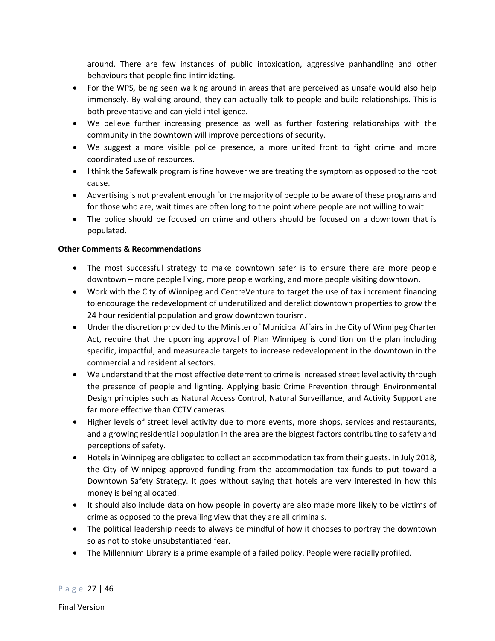around. There are few instances of public intoxication, aggressive panhandling and other behaviours that people find intimidating.

- For the WPS, being seen walking around in areas that are perceived as unsafe would also help immensely. By walking around, they can actually talk to people and build relationships. This is both preventative and can yield intelligence.
- We believe further increasing presence as well as further fostering relationships with the community in the downtown will improve perceptions of security.
- We suggest a more visible police presence, a more united front to fight crime and more coordinated use of resources.
- I think the Safewalk program is fine however we are treating the symptom as opposed to the root cause.
- Advertising is not prevalent enough for the majority of people to be aware of these programs and for those who are, wait times are often long to the point where people are not willing to wait.
- The police should be focused on crime and others should be focused on a downtown that is populated.

### **Other Comments & Recommendations**

- The most successful strategy to make downtown safer is to ensure there are more people downtown – more people living, more people working, and more people visiting downtown.
- Work with the City of Winnipeg and CentreVenture to target the use of tax increment financing to encourage the redevelopment of underutilized and derelict downtown properties to grow the 24 hour residential population and grow downtown tourism.
- Under the discretion provided to the Minister of Municipal Affairs in the City of Winnipeg Charter Act, require that the upcoming approval of Plan Winnipeg is condition on the plan including specific, impactful, and measureable targets to increase redevelopment in the downtown in the commercial and residential sectors.
- We understand that the most effective deterrent to crime is increased street level activity through the presence of people and lighting. Applying basic Crime Prevention through Environmental Design principles such as Natural Access Control, Natural Surveillance, and Activity Support are far more effective than CCTV cameras.
- Higher levels of street level activity due to more events, more shops, services and restaurants, and a growing residential population in the area are the biggest factors contributing to safety and perceptions of safety.
- Hotels in Winnipeg are obligated to collect an accommodation tax from their guests. In July 2018, the City of Winnipeg approved funding from the accommodation tax funds to put toward a Downtown Safety Strategy. It goes without saying that hotels are very interested in how this money is being allocated.
- It should also include data on how people in poverty are also made more likely to be victims of crime as opposed to the prevailing view that they are all criminals.
- The political leadership needs to always be mindful of how it chooses to portray the downtown so as not to stoke unsubstantiated fear.
- The Millennium Library is a prime example of a failed policy. People were racially profiled.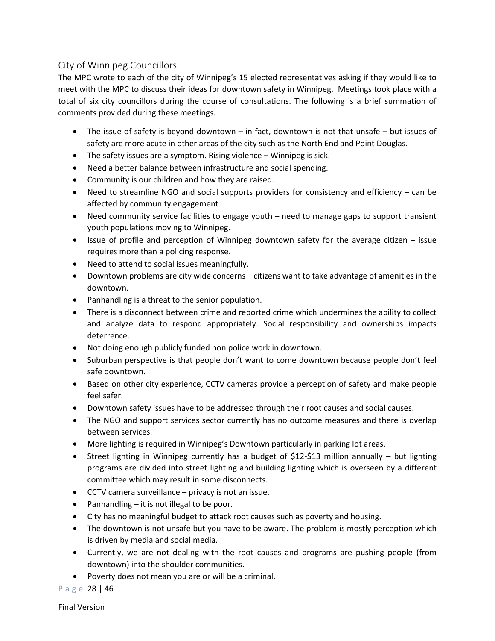## <span id="page-27-0"></span>City of Winnipeg Councillors

The MPC wrote to each of the city of Winnipeg's 15 elected representatives asking if they would like to meet with the MPC to discuss their ideas for downtown safety in Winnipeg. Meetings took place with a total of six city councillors during the course of consultations. The following is a brief summation of comments provided during these meetings.

- The issue of safety is beyond downtown in fact, downtown is not that unsafe but issues of safety are more acute in other areas of the city such as the North End and Point Douglas.
- The safety issues are a symptom. Rising violence Winnipeg is sick.
- Need a better balance between infrastructure and social spending.
- Community is our children and how they are raised.
- Need to streamline NGO and social supports providers for consistency and efficiency can be affected by community engagement
- Need community service facilities to engage youth need to manage gaps to support transient youth populations moving to Winnipeg.
- Issue of profile and perception of Winnipeg downtown safety for the average citizen issue requires more than a policing response.
- Need to attend to social issues meaningfully.
- Downtown problems are city wide concerns citizens want to take advantage of amenities in the downtown.
- Panhandling is a threat to the senior population.
- There is a disconnect between crime and reported crime which undermines the ability to collect and analyze data to respond appropriately. Social responsibility and ownerships impacts deterrence.
- Not doing enough publicly funded non police work in downtown.
- Suburban perspective is that people don't want to come downtown because people don't feel safe downtown.
- Based on other city experience, CCTV cameras provide a perception of safety and make people feel safer.
- Downtown safety issues have to be addressed through their root causes and social causes.
- The NGO and support services sector currently has no outcome measures and there is overlap between services.
- More lighting is required in Winnipeg's Downtown particularly in parking lot areas.
- Street lighting in Winnipeg currently has a budget of \$12-\$13 million annually but lighting programs are divided into street lighting and building lighting which is overseen by a different committee which may result in some disconnects.
- CCTV camera surveillance privacy is not an issue.
- Panhandling it is not illegal to be poor.
- City has no meaningful budget to attack root causes such as poverty and housing.
- The downtown is not unsafe but you have to be aware. The problem is mostly perception which is driven by media and social media.
- Currently, we are not dealing with the root causes and programs are pushing people (from downtown) into the shoulder communities.
- Poverty does not mean you are or will be a criminal.

Page 28 | 46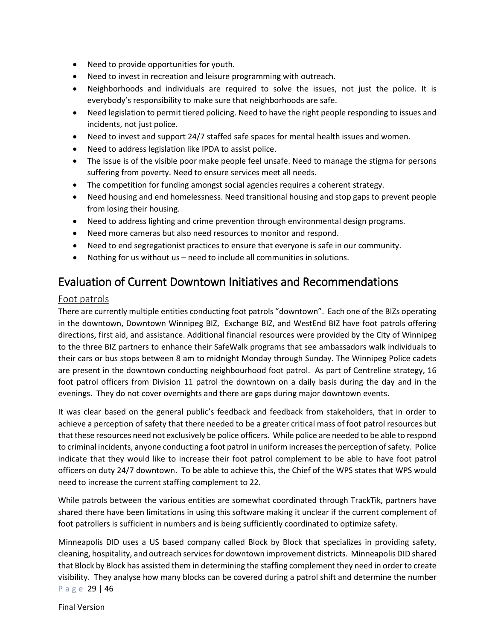- Need to provide opportunities for youth.
- Need to invest in recreation and leisure programming with outreach.
- Neighborhoods and individuals are required to solve the issues, not just the police. It is everybody's responsibility to make sure that neighborhoods are safe.
- Need legislation to permit tiered policing. Need to have the right people responding to issues and incidents, not just police.
- Need to invest and support 24/7 staffed safe spaces for mental health issues and women.
- Need to address legislation like IPDA to assist police.
- The issue is of the visible poor make people feel unsafe. Need to manage the stigma for persons suffering from poverty. Need to ensure services meet all needs.
- The competition for funding amongst social agencies requires a coherent strategy.
- Need housing and end homelessness. Need transitional housing and stop gaps to prevent people from losing their housing.
- Need to address lighting and crime prevention through environmental design programs.
- Need more cameras but also need resources to monitor and respond.
- Need to end segregationist practices to ensure that everyone is safe in our community.
- Nothing for us without us need to include all communities in solutions.

## <span id="page-28-0"></span>Evaluation of Current Downtown Initiatives and Recommendations

#### <span id="page-28-1"></span>Foot patrols

There are currently multiple entities conducting foot patrols "downtown". Each one of the BIZs operating in the downtown, Downtown Winnipeg BIZ, Exchange BIZ, and WestEnd BIZ have foot patrols offering directions, first aid, and assistance. Additional financial resources were provided by the City of Winnipeg to the three BIZ partners to enhance their SafeWalk programs that see ambassadors walk individuals to their cars or bus stops between 8 am to midnight Monday through Sunday. The Winnipeg Police cadets are present in the downtown conducting neighbourhood foot patrol. As part of Centreline strategy, 16 foot patrol officers from Division 11 patrol the downtown on a daily basis during the day and in the evenings. They do not cover overnights and there are gaps during major downtown events.

It was clear based on the general public's feedback and feedback from stakeholders, that in order to achieve a perception of safety that there needed to be a greater critical mass of foot patrol resources but that these resources need not exclusively be police officers. While police are needed to be able to respond to criminal incidents, anyone conducting a foot patrol in uniform increases the perception of safety. Police indicate that they would like to increase their foot patrol complement to be able to have foot patrol officers on duty 24/7 downtown. To be able to achieve this, the Chief of the WPS states that WPS would need to increase the current staffing complement to 22.

While patrols between the various entities are somewhat coordinated through TrackTik, partners have shared there have been limitations in using this software making it unclear if the current complement of foot patrollers is sufficient in numbers and is being sufficiently coordinated to optimize safety.

Page 29 | 46 Minneapolis DID uses a US based company called Block by Block that specializes in providing safety, cleaning, hospitality, and outreach services for downtown improvement districts. Minneapolis DID shared that Block by Block has assisted them in determining the staffing complement they need in order to create visibility. They analyse how many blocks can be covered during a patrol shift and determine the number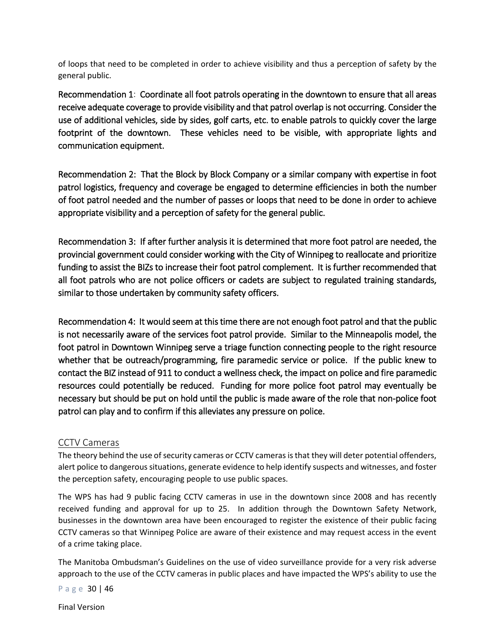of loops that need to be completed in order to achieve visibility and thus a perception of safety by the general public.

<span id="page-29-0"></span>Recommendation 1: Coordinate all foot patrols operating in the downtown to ensure that all areas receive adequate coverage to provide visibility and that patrol overlap is not occurring. Consider the use of additional vehicles, side by sides, golf carts, etc. to enable patrols to quickly cover the large footprint of the downtown. These vehicles need to be visible, with appropriate lights and communication equipment.

<span id="page-29-1"></span>Recommendation 2: That the Block by Block Company or a similar company with expertise in foot patrol logistics, frequency and coverage be engaged to determine efficiencies in both the number of foot patrol needed and the number of passes or loops that need to be done in order to achieve appropriate visibility and a perception of safety for the general public.

<span id="page-29-2"></span>Recommendation 3: If after further analysis it is determined that more foot patrol are needed, the provincial government could consider working with the City of Winnipeg to reallocate and prioritize funding to assist the BIZs to increase their foot patrol complement. It is further recommended that all foot patrols who are not police officers or cadets are subject to regulated training standards, similar to those undertaken by community safety officers.

<span id="page-29-3"></span>Recommendation 4: It would seem at this time there are not enough foot patrol and that the public is not necessarily aware of the services foot patrol provide. Similar to the Minneapolis model, the foot patrol in Downtown Winnipeg serve a triage function connecting people to the right resource whether that be outreach/programming, fire paramedic service or police. If the public knew to contact the BIZ instead of 911 to conduct a wellness check, the impact on police and fire paramedic resources could potentially be reduced. Funding for more police foot patrol may eventually be necessary but should be put on hold until the public is made aware of the role that non-police foot patrol can play and to confirm if this alleviates any pressure on police.

## <span id="page-29-4"></span>CCTV Cameras

The theory behind the use of security cameras or CCTV cameras is that they will deter potential offenders, alert police to dangerous situations, generate evidence to help identify suspects and witnesses, and foster the perception safety, encouraging people to use public spaces.

The WPS has had 9 public facing CCTV cameras in use in the downtown since 2008 and has recently received funding and approval for up to 25. In addition through the Downtown Safety Network, businesses in the downtown area have been encouraged to register the existence of their public facing CCTV cameras so that Winnipeg Police are aware of their existence and may request access in the event of a crime taking place.

The Manitoba Ombudsman's Guidelines on the use of video surveillance provide for a very risk adverse approach to the use of the CCTV cameras in public places and have impacted the WPS's ability to use the

Page 30 | 46

Final Version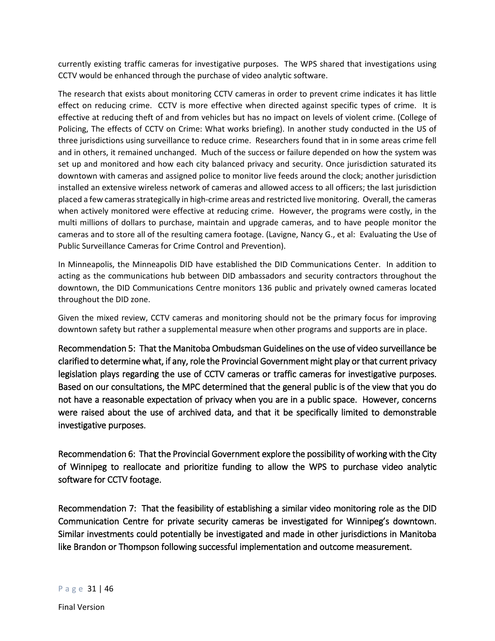currently existing traffic cameras for investigative purposes. The WPS shared that investigations using CCTV would be enhanced through the purchase of video analytic software.

The research that exists about monitoring CCTV cameras in order to prevent crime indicates it has little effect on reducing crime. CCTV is more effective when directed against specific types of crime. It is effective at reducing theft of and from vehicles but has no impact on levels of violent crime. (College of Policing, The effects of CCTV on Crime: What works briefing). In another study conducted in the US of three jurisdictions using surveillance to reduce crime. Researchers found that in in some areas crime fell and in others, it remained unchanged. Much of the success or failure depended on how the system was set up and monitored and how each city balanced privacy and security. Once jurisdiction saturated its downtown with cameras and assigned police to monitor live feeds around the clock; another jurisdiction installed an extensive wireless network of cameras and allowed access to all officers; the last jurisdiction placed a few cameras strategically in high-crime areas and restricted live monitoring. Overall, the cameras when actively monitored were effective at reducing crime. However, the programs were costly, in the multi millions of dollars to purchase, maintain and upgrade cameras, and to have people monitor the cameras and to store all of the resulting camera footage. (Lavigne, Nancy G., et al: Evaluating the Use of Public Surveillance Cameras for Crime Control and Prevention).

In Minneapolis, the Minneapolis DID have established the DID Communications Center. In addition to acting as the communications hub between DID ambassadors and security contractors throughout the downtown, the DID Communications Centre monitors 136 public and privately owned cameras located throughout the DID zone.

Given the mixed review, CCTV cameras and monitoring should not be the primary focus for improving downtown safety but rather a supplemental measure when other programs and supports are in place.

<span id="page-30-0"></span>Recommendation 5: That the Manitoba Ombudsman Guidelines on the use of video surveillance be clarified to determine what, if any, role the Provincial Government might play or that current privacy legislation plays regarding the use of CCTV cameras or traffic cameras for investigative purposes. Based on our consultations, the MPC determined that the general public is of the view that you do not have a reasonable expectation of privacy when you are in a public space. However, concerns were raised about the use of archived data, and that it be specifically limited to demonstrable investigative purposes.

<span id="page-30-1"></span>Recommendation 6: That the Provincial Government explore the possibility of working with the City of Winnipeg to reallocate and prioritize funding to allow the WPS to purchase video analytic software for CCTV footage.

<span id="page-30-2"></span>Recommendation 7: That the feasibility of establishing a similar video monitoring role as the DID Communication Centre for private security cameras be investigated for Winnipeg's downtown. Similar investments could potentially be investigated and made in other jurisdictions in Manitoba like Brandon or Thompson following successful implementation and outcome measurement.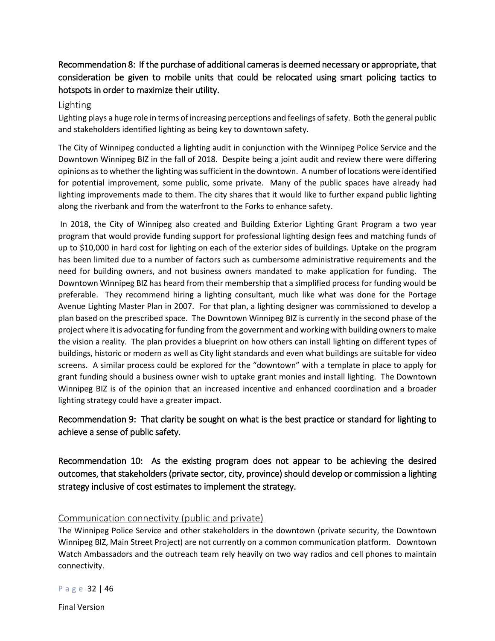## <span id="page-31-0"></span>Recommendation 8: If the purchase of additional cameras is deemed necessary or appropriate, that consideration be given to mobile units that could be relocated using smart policing tactics to hotspots in order to maximize their utility.

#### <span id="page-31-1"></span>Lighting

Lighting plays a huge role in terms of increasing perceptions and feelings of safety. Both the general public and stakeholders identified lighting as being key to downtown safety.

The City of Winnipeg conducted a lighting audit in conjunction with the Winnipeg Police Service and the Downtown Winnipeg BIZ in the fall of 2018. Despite being a joint audit and review there were differing opinions as to whether the lighting was sufficient in the downtown. A number of locations were identified for potential improvement, some public, some private. Many of the public spaces have already had lighting improvements made to them. The city shares that it would like to further expand public lighting along the riverbank and from the waterfront to the Forks to enhance safety.

In 2018, the City of Winnipeg also created and Building Exterior Lighting Grant Program a two year program that would provide funding support for professional lighting design fees and matching funds of up to \$10,000 in hard cost for lighting on each of the exterior sides of buildings. Uptake on the program has been limited due to a number of factors such as cumbersome administrative requirements and the need for building owners, and not business owners mandated to make application for funding. The Downtown Winnipeg BIZ has heard from their membership that a simplified process for funding would be preferable. They recommend hiring a lighting consultant, much like what was done for the Portage Avenue Lighting Master Plan in 2007. For that plan, a lighting designer was commissioned to develop a plan based on the prescribed space. The Downtown Winnipeg BIZ is currently in the second phase of the project where it is advocating for funding from the government and working with building owners to make the vision a reality. The plan provides a blueprint on how others can install lighting on different types of buildings, historic or modern as well as City light standards and even what buildings are suitable for video screens. A similar process could be explored for the "downtown" with a template in place to apply for grant funding should a business owner wish to uptake grant monies and install lighting. The Downtown Winnipeg BIZ is of the opinion that an increased incentive and enhanced coordination and a broader lighting strategy could have a greater impact.

## <span id="page-31-2"></span>Recommendation 9: That clarity be sought on what is the best practice or standard for lighting to achieve a sense of public safety.

<span id="page-31-3"></span>Recommendation 10: As the existing program does not appear to be achieving the desired outcomes, that stakeholders (private sector, city, province) should develop or commission a lighting strategy inclusive of cost estimates to implement the strategy.

### <span id="page-31-4"></span>Communication connectivity (public and private)

The Winnipeg Police Service and other stakeholders in the downtown (private security, the Downtown Winnipeg BIZ, Main Street Project) are not currently on a common communication platform. Downtown Watch Ambassadors and the outreach team rely heavily on two way radios and cell phones to maintain connectivity.

Page 32 | 46

Final Version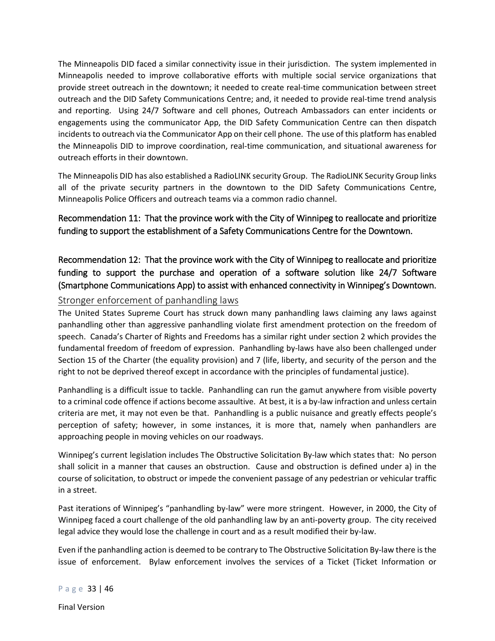The Minneapolis DID faced a similar connectivity issue in their jurisdiction. The system implemented in Minneapolis needed to improve collaborative efforts with multiple social service organizations that provide street outreach in the downtown; it needed to create real-time communication between street outreach and the DID Safety Communications Centre; and, it needed to provide real-time trend analysis and reporting. Using 24/7 Software and cell phones, Outreach Ambassadors can enter incidents or engagements using the communicator App, the DID Safety Communication Centre can then dispatch incidents to outreach via the Communicator App on their cell phone. The use of this platform has enabled the Minneapolis DID to improve coordination, real-time communication, and situational awareness for outreach efforts in their downtown.

The Minneapolis DID has also established a RadioLINK security Group. The RadioLINK Security Group links all of the private security partners in the downtown to the DID Safety Communications Centre, Minneapolis Police Officers and outreach teams via a common radio channel.

<span id="page-32-0"></span>Recommendation 11: That the province work with the City of Winnipeg to reallocate and prioritize funding to support the establishment of a Safety Communications Centre for the Downtown.

<span id="page-32-1"></span>Recommendation 12: That the province work with the City of Winnipeg to reallocate and prioritize funding to support the purchase and operation of a software solution like 24/7 Software (Smartphone Communications App) to assist with enhanced connectivity in Winnipeg's Downtown.

## <span id="page-32-2"></span>Stronger enforcement of panhandling laws

The United States Supreme Court has struck down many panhandling laws claiming any laws against panhandling other than aggressive panhandling violate first amendment protection on the freedom of speech. Canada's Charter of Rights and Freedoms has a similar right under section 2 which provides the fundamental freedom of freedom of expression. Panhandling by-laws have also been challenged under Section 15 of the Charter (the equality provision) and 7 (life, liberty, and security of the person and the right to not be deprived thereof except in accordance with the principles of fundamental justice).

Panhandling is a difficult issue to tackle. Panhandling can run the gamut anywhere from visible poverty to a criminal code offence if actions become assaultive. At best, it is a by-law infraction and unless certain criteria are met, it may not even be that. Panhandling is a public nuisance and greatly effects people's perception of safety; however, in some instances, it is more that, namely when panhandlers are approaching people in moving vehicles on our roadways.

Winnipeg's current legislation includes The Obstructive Solicitation By-law which states that: No person shall solicit in a manner that causes an obstruction. Cause and obstruction is defined under a) in the course of solicitation, to obstruct or impede the convenient passage of any pedestrian or vehicular traffic in a street.

Past iterations of Winnipeg's "panhandling by-law" were more stringent. However, in 2000, the City of Winnipeg faced a court challenge of the old panhandling law by an anti-poverty group. The city received legal advice they would lose the challenge in court and as a result modified their by-law.

Even if the panhandling action is deemed to be contrary to The Obstructive Solicitation By-law there is the issue of enforcement. Bylaw enforcement involves the services of a Ticket (Ticket Information or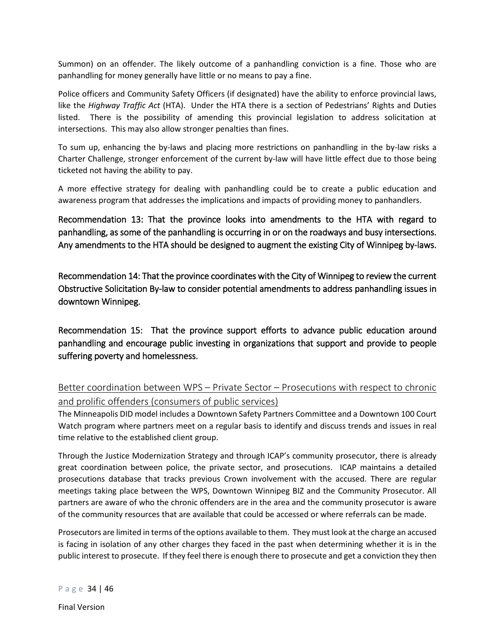Summon) on an offender. The likely outcome of a panhandling conviction is a fine. Those who are panhandling for money generally have little or no means to pay a fine.

Police officers and Community Safety Officers (if designated) have the ability to enforce provincial laws, like the *Highway Traffic Act* (HTA). Under the HTA there is a section of Pedestrians' Rights and Duties listed. There is the possibility of amending this provincial legislation to address solicitation at intersections. This may also allow stronger penalties than fines.

To sum up, enhancing the by-laws and placing more restrictions on panhandling in the by-law risks a Charter Challenge, stronger enforcement of the current by-law will have little effect due to those being ticketed not having the ability to pay.

A more effective strategy for dealing with panhandling could be to create a public education and awareness program that addresses the implications and impacts of providing money to panhandlers.

<span id="page-33-0"></span>Recommendation 13: That the province looks into amendments to the HTA with regard to panhandling, as some of the panhandling is occurring in or on the roadways and busy intersections. Any amendments to the HTA should be designed to augment the existing City of Winnipeg by-laws.

<span id="page-33-1"></span>Recommendation 14: That the province coordinates with the City of Winnipeg to review the current Obstructive Solicitation By-law to consider potential amendments to address panhandling issues in downtown Winnipeg.

<span id="page-33-2"></span>Recommendation 15: That the province support efforts to advance public education around panhandling and encourage public investing in organizations that support and provide to people suffering poverty and homelessness.

<span id="page-33-3"></span>Better coordination between WPS – Private Sector – Prosecutions with respect to chronic and prolific offenders (consumers of public services)

The Minneapolis DID model includes a Downtown Safety Partners Committee and a Downtown 100 Court Watch program where partners meet on a regular basis to identify and discuss trends and issues in real time relative to the established client group.

Through the Justice Modernization Strategy and through ICAP's community prosecutor, there is already great coordination between police, the private sector, and prosecutions. ICAP maintains a detailed prosecutions database that tracks previous Crown involvement with the accused. There are regular meetings taking place between the WPS, Downtown Winnipeg BIZ and the Community Prosecutor. All partners are aware of who the chronic offenders are in the area and the community prosecutor is aware of the community resources that are available that could be accessed or where referrals can be made.

Prosecutors are limited in terms of the options available to them. They must look at the charge an accused is facing in isolation of any other charges they faced in the past when determining whether it is in the public interest to prosecute. If they feel there is enough there to prosecute and get a conviction they then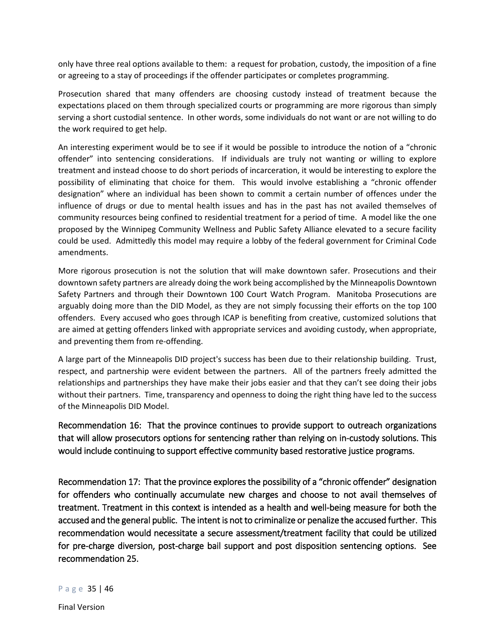only have three real options available to them: a request for probation, custody, the imposition of a fine or agreeing to a stay of proceedings if the offender participates or completes programming.

Prosecution shared that many offenders are choosing custody instead of treatment because the expectations placed on them through specialized courts or programming are more rigorous than simply serving a short custodial sentence. In other words, some individuals do not want or are not willing to do the work required to get help.

An interesting experiment would be to see if it would be possible to introduce the notion of a "chronic offender" into sentencing considerations. If individuals are truly not wanting or willing to explore treatment and instead choose to do short periods of incarceration, it would be interesting to explore the possibility of eliminating that choice for them. This would involve establishing a "chronic offender designation" where an individual has been shown to commit a certain number of offences under the influence of drugs or due to mental health issues and has in the past has not availed themselves of community resources being confined to residential treatment for a period of time. A model like the one proposed by the Winnipeg Community Wellness and Public Safety Alliance elevated to a secure facility could be used. Admittedly this model may require a lobby of the federal government for Criminal Code amendments.

More rigorous prosecution is not the solution that will make downtown safer. Prosecutions and their downtown safety partners are already doing the work being accomplished by the Minneapolis Downtown Safety Partners and through their Downtown 100 Court Watch Program. Manitoba Prosecutions are arguably doing more than the DID Model, as they are not simply focussing their efforts on the top 100 offenders. Every accused who goes through ICAP is benefiting from creative, customized solutions that are aimed at getting offenders linked with appropriate services and avoiding custody, when appropriate, and preventing them from re-offending.

A large part of the Minneapolis DID project's success has been due to their relationship building. Trust, respect, and partnership were evident between the partners. All of the partners freely admitted the relationships and partnerships they have make their jobs easier and that they can't see doing their jobs without their partners. Time, transparency and openness to doing the right thing have led to the success of the Minneapolis DID Model.

<span id="page-34-0"></span>Recommendation 16: That the province continues to provide support to outreach organizations that will allow prosecutors options for sentencing rather than relying on in-custody solutions. This would include continuing to support effective community based restorative justice programs.

<span id="page-34-1"></span>Recommendation 17: That the province explores the possibility of a "chronic offender" designation for offenders who continually accumulate new charges and choose to not avail themselves of treatment. Treatment in this context is intended as a health and well-being measure for both the accused and the general public. The intent is not to criminalize or penalize the accused further. This recommendation would necessitate a secure assessment/treatment facility that could be utilized for pre-charge diversion, post-charge bail support and post disposition sentencing options. See recommendation 25.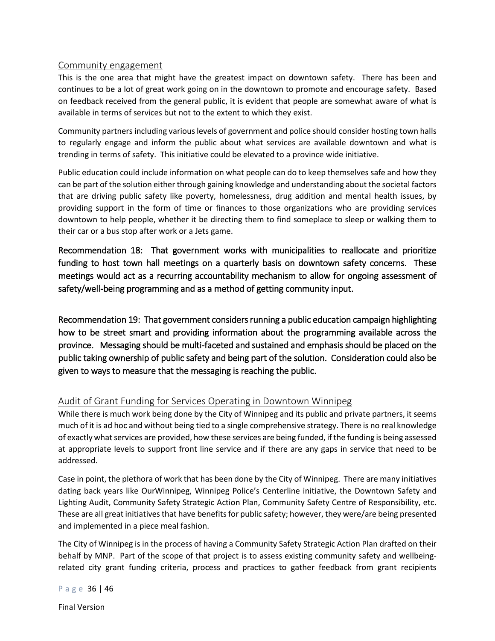#### <span id="page-35-0"></span>Community engagement

This is the one area that might have the greatest impact on downtown safety. There has been and continues to be a lot of great work going on in the downtown to promote and encourage safety. Based on feedback received from the general public, it is evident that people are somewhat aware of what is available in terms of services but not to the extent to which they exist.

Community partners including various levels of government and police should consider hosting town halls to regularly engage and inform the public about what services are available downtown and what is trending in terms of safety. This initiative could be elevated to a province wide initiative.

Public education could include information on what people can do to keep themselves safe and how they can be part of the solution either through gaining knowledge and understanding about the societal factors that are driving public safety like poverty, homelessness, drug addition and mental health issues, by providing support in the form of time or finances to those organizations who are providing services downtown to help people, whether it be directing them to find someplace to sleep or walking them to their car or a bus stop after work or a Jets game.

<span id="page-35-1"></span>Recommendation 18: That government works with municipalities to reallocate and prioritize funding to host town hall meetings on a quarterly basis on downtown safety concerns. These meetings would act as a recurring accountability mechanism to allow for ongoing assessment of safety/well-being programming and as a method of getting community input.

<span id="page-35-2"></span>Recommendation 19: That government considers running a public education campaign highlighting how to be street smart and providing information about the programming available across the province. Messaging should be multi-faceted and sustained and emphasis should be placed on the public taking ownership of public safety and being part of the solution. Consideration could also be given to ways to measure that the messaging is reaching the public.

### <span id="page-35-3"></span>Audit of Grant Funding for Services Operating in Downtown Winnipeg

While there is much work being done by the City of Winnipeg and its public and private partners, it seems much of it is ad hoc and without being tied to a single comprehensive strategy. There is no real knowledge of exactly what services are provided, how these services are being funded, if the funding is being assessed at appropriate levels to support front line service and if there are any gaps in service that need to be addressed.

Case in point, the plethora of work that has been done by the City of Winnipeg. There are many initiatives dating back years like OurWinnipeg, Winnipeg Police's Centerline initiative, the Downtown Safety and Lighting Audit, Community Safety Strategic Action Plan, Community Safety Centre of Responsibility, etc. These are all great initiatives that have benefits for public safety; however, they were/are being presented and implemented in a piece meal fashion.

The City of Winnipeg is in the process of having a Community Safety Strategic Action Plan drafted on their behalf by MNP. Part of the scope of that project is to assess existing community safety and wellbeingrelated city grant funding criteria, process and practices to gather feedback from grant recipients

Page 36 | 46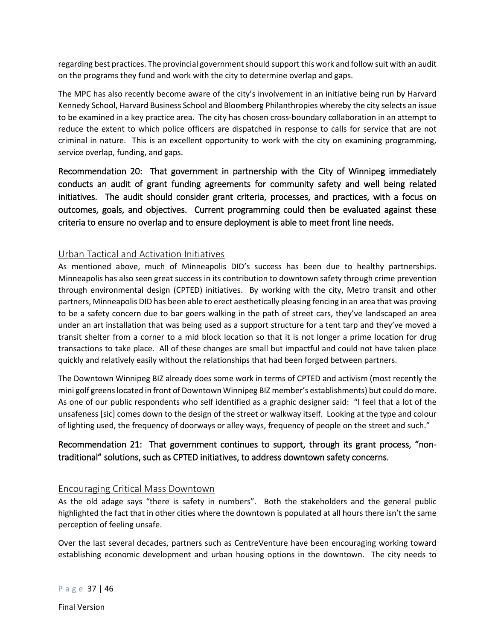regarding best practices. The provincial government should support this work and follow suit with an audit on the programs they fund and work with the city to determine overlap and gaps.

The MPC has also recently become aware of the city's involvement in an initiative being run by Harvard Kennedy School, Harvard Business School and Bloomberg Philanthropies whereby the city selects an issue to be examined in a key practice area. The city has chosen cross-boundary collaboration in an attempt to reduce the extent to which police officers are dispatched in response to calls for service that are not criminal in nature. This is an excellent opportunity to work with the city on examining programming, service overlap, funding, and gaps.

<span id="page-36-0"></span>Recommendation 20: That government in partnership with the City of Winnipeg immediately conducts an audit of grant funding agreements for community safety and well being related initiatives. The audit should consider grant criteria, processes, and practices, with a focus on outcomes, goals, and objectives. Current programming could then be evaluated against these criteria to ensure no overlap and to ensure deployment is able to meet front line needs.

### <span id="page-36-1"></span>Urban Tactical and Activation Initiatives

As mentioned above, much of Minneapolis DID's success has been due to healthy partnerships. Minneapolis has also seen great success in its contribution to downtown safety through crime prevention through environmental design (CPTED) initiatives. By working with the city, Metro transit and other partners, Minneapolis DID has been able to erect aesthetically pleasing fencing in an area that was proving to be a safety concern due to bar goers walking in the path of street cars, they've landscaped an area under an art installation that was being used as a support structure for a tent tarp and they've moved a transit shelter from a corner to a mid block location so that it is not longer a prime location for drug transactions to take place. All of these changes are small but impactful and could not have taken place quickly and relatively easily without the relationships that had been forged between partners.

The Downtown Winnipeg BIZ already does some work in terms of CPTED and activism (most recently the mini golf greens located in front of Downtown Winnipeg BIZ member's establishments) but could do more. As one of our public respondents who self identified as a graphic designer said: "I feel that a lot of the unsafeness [sic] comes down to the design of the street or walkway itself. Looking at the type and colour of lighting used, the frequency of doorways or alley ways, frequency of people on the street and such."

## <span id="page-36-2"></span>Recommendation 21: That government continues to support, through its grant process, "nontraditional" solutions, such as CPTED initiatives, to address downtown safety concerns.

### <span id="page-36-3"></span>Encouraging Critical Mass Downtown

As the old adage says "there is safety in numbers". Both the stakeholders and the general public highlighted the fact that in other cities where the downtown is populated at all hours there isn't the same perception of feeling unsafe.

Over the last several decades, partners such as CentreVenture have been encouraging working toward establishing economic development and urban housing options in the downtown. The city needs to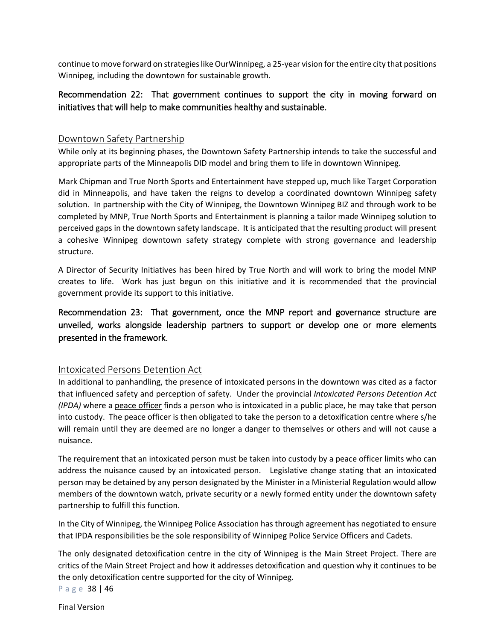continue to move forward on strategies like OurWinnipeg, a 25-year vision for the entire city that positions Winnipeg, including the downtown for sustainable growth.

## <span id="page-37-0"></span>Recommendation 22: That government continues to support the city in moving forward on initiatives that will help to make communities healthy and sustainable.

### <span id="page-37-1"></span>Downtown Safety Partnership

While only at its beginning phases, the Downtown Safety Partnership intends to take the successful and appropriate parts of the Minneapolis DID model and bring them to life in downtown Winnipeg.

Mark Chipman and True North Sports and Entertainment have stepped up, much like Target Corporation did in Minneapolis, and have taken the reigns to develop a coordinated downtown Winnipeg safety solution. In partnership with the City of Winnipeg, the Downtown Winnipeg BIZ and through work to be completed by MNP, True North Sports and Entertainment is planning a tailor made Winnipeg solution to perceived gaps in the downtown safety landscape. It is anticipated that the resulting product will present a cohesive Winnipeg downtown safety strategy complete with strong governance and leadership structure.

A Director of Security Initiatives has been hired by True North and will work to bring the model MNP creates to life. Work has just begun on this initiative and it is recommended that the provincial government provide its support to this initiative.

<span id="page-37-2"></span>Recommendation 23: That government, once the MNP report and governance structure are unveiled, works alongside leadership partners to support or develop one or more elements presented in the framework.

### <span id="page-37-3"></span>Intoxicated Persons Detention Act

In additional to panhandling, the presence of intoxicated persons in the downtown was cited as a factor that influenced safety and perception of safety. Under the provincial *Intoxicated Persons Detention Act (IPDA)* where a peace officer finds a person who is intoxicated in a public place, he may take that person into custody. The peace officer is then obligated to take the person to a detoxification centre where s/he will remain until they are deemed are no longer a danger to themselves or others and will not cause a nuisance.

The requirement that an intoxicated person must be taken into custody by a peace officer limits who can address the nuisance caused by an intoxicated person. Legislative change stating that an intoxicated person may be detained by any person designated by the Minister in a Ministerial Regulation would allow members of the downtown watch, private security or a newly formed entity under the downtown safety partnership to fulfill this function.

In the City of Winnipeg, the Winnipeg Police Association has through agreement has negotiated to ensure that IPDA responsibilities be the sole responsibility of Winnipeg Police Service Officers and Cadets.

The only designated detoxification centre in the city of Winnipeg is the Main Street Project. There are critics of the Main Street Project and how it addresses detoxification and question why it continues to be the only detoxification centre supported for the city of Winnipeg.

Page 38 | 46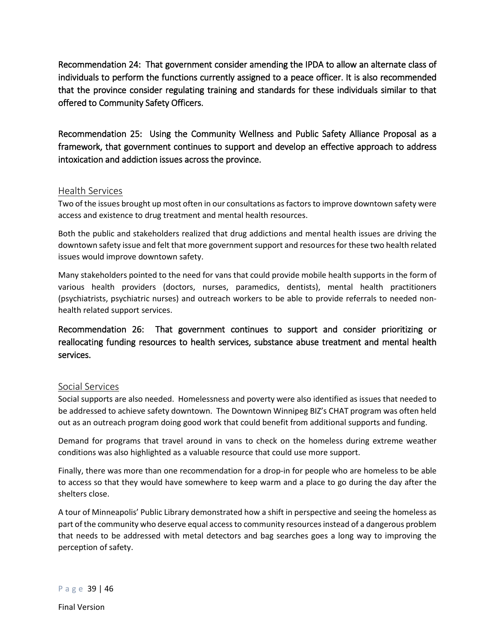<span id="page-38-0"></span>Recommendation 24: That government consider amending the IPDA to allow an alternate class of individuals to perform the functions currently assigned to a peace officer. It is also recommended that the province consider regulating training and standards for these individuals similar to that offered to Community Safety Officers.

<span id="page-38-1"></span>Recommendation 25: Using the Community Wellness and Public Safety Alliance Proposal as a framework, that government continues to support and develop an effective approach to address intoxication and addiction issues across the province.

### <span id="page-38-2"></span>Health Services

Two of the issues brought up most often in our consultations as factors to improve downtown safety were access and existence to drug treatment and mental health resources.

Both the public and stakeholders realized that drug addictions and mental health issues are driving the downtown safety issue and felt that more government support and resources for these two health related issues would improve downtown safety.

Many stakeholders pointed to the need for vans that could provide mobile health supports in the form of various health providers (doctors, nurses, paramedics, dentists), mental health practitioners (psychiatrists, psychiatric nurses) and outreach workers to be able to provide referrals to needed nonhealth related support services.

<span id="page-38-3"></span>Recommendation 26: That government continues to support and consider prioritizing or reallocating funding resources to health services, substance abuse treatment and mental health services.

### <span id="page-38-4"></span>Social Services

Social supports are also needed. Homelessness and poverty were also identified as issues that needed to be addressed to achieve safety downtown. The Downtown Winnipeg BIZ's CHAT program was often held out as an outreach program doing good work that could benefit from additional supports and funding.

Demand for programs that travel around in vans to check on the homeless during extreme weather conditions was also highlighted as a valuable resource that could use more support.

Finally, there was more than one recommendation for a drop-in for people who are homeless to be able to access so that they would have somewhere to keep warm and a place to go during the day after the shelters close.

A tour of Minneapolis' Public Library demonstrated how a shift in perspective and seeing the homeless as part of the community who deserve equal access to community resources instead of a dangerous problem that needs to be addressed with metal detectors and bag searches goes a long way to improving the perception of safety.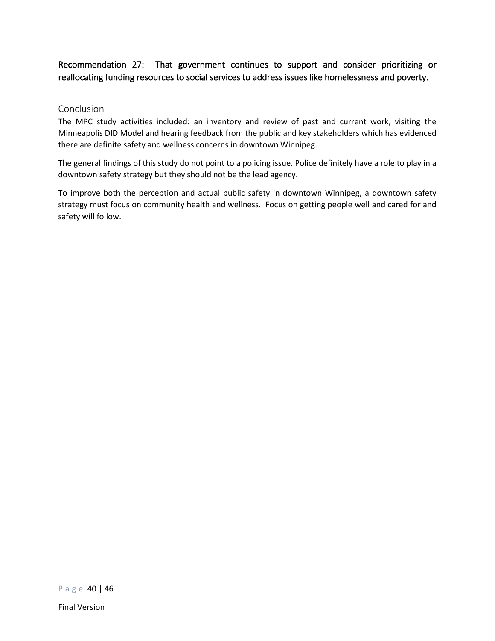## <span id="page-39-0"></span>Recommendation 27: That government continues to support and consider prioritizing or reallocating funding resources to social services to address issues like homelessness and poverty.

#### <span id="page-39-1"></span>Conclusion

The MPC study activities included: an inventory and review of past and current work, visiting the Minneapolis DID Model and hearing feedback from the public and key stakeholders which has evidenced there are definite safety and wellness concerns in downtown Winnipeg.

The general findings of this study do not point to a policing issue. Police definitely have a role to play in a downtown safety strategy but they should not be the lead agency.

To improve both the perception and actual public safety in downtown Winnipeg, a downtown safety strategy must focus on community health and wellness. Focus on getting people well and cared for and safety will follow.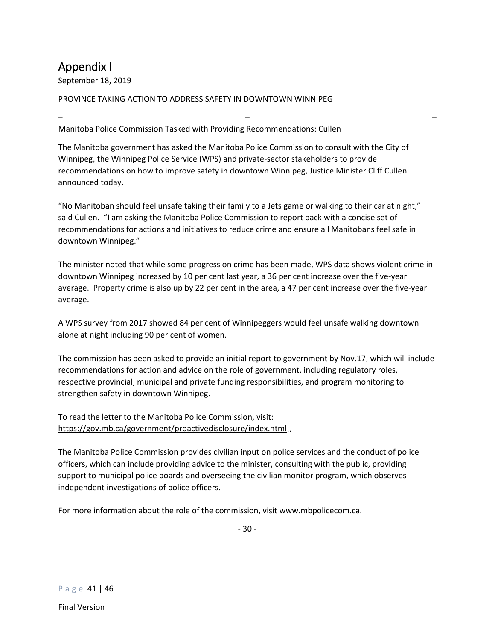# <span id="page-40-0"></span>Appendix I

September 18, 2019

#### PROVINCE TAKING ACTION TO ADDRESS SAFETY IN DOWNTOWN WINNIPEG

– – – Manitoba Police Commission Tasked with Providing Recommendations: Cullen

The Manitoba government has asked the Manitoba Police Commission to consult with the City of Winnipeg, the Winnipeg Police Service (WPS) and private-sector stakeholders to provide recommendations on how to improve safety in downtown Winnipeg, Justice Minister Cliff Cullen announced today.

"No Manitoban should feel unsafe taking their family to a Jets game or walking to their car at night," said Cullen. "I am asking the Manitoba Police Commission to report back with a concise set of recommendations for actions and initiatives to reduce crime and ensure all Manitobans feel safe in downtown Winnipeg."

The minister noted that while some progress on crime has been made, WPS data shows violent crime in downtown Winnipeg increased by 10 per cent last year, a 36 per cent increase over the five-year average. Property crime is also up by 22 per cent in the area, a 47 per cent increase over the five-year average.

A WPS survey from 2017 showed 84 per cent of Winnipeggers would feel unsafe walking downtown alone at night including 90 per cent of women.

The commission has been asked to provide an initial report to government by Nov.17, which will include recommendations for action and advice on the role of government, including regulatory roles, respective provincial, municipal and private funding responsibilities, and program monitoring to strengthen safety in downtown Winnipeg.

To read the letter to the Manitoba Police Commission, visit: [https://gov.mb.ca/government/proactivedisclosure/index.html.](https://gov.mb.ca/government/proactivedisclosure/index.html).

The Manitoba Police Commission provides civilian input on police services and the conduct of police officers, which can include providing advice to the minister, consulting with the public, providing support to municipal police boards and overseeing the civilian monitor program, which observes independent investigations of police officers.

For more information about the role of the commission, visi[t www.mbpolicecom.ca.](http://www.mbpolicecom.ca/)

- 30 -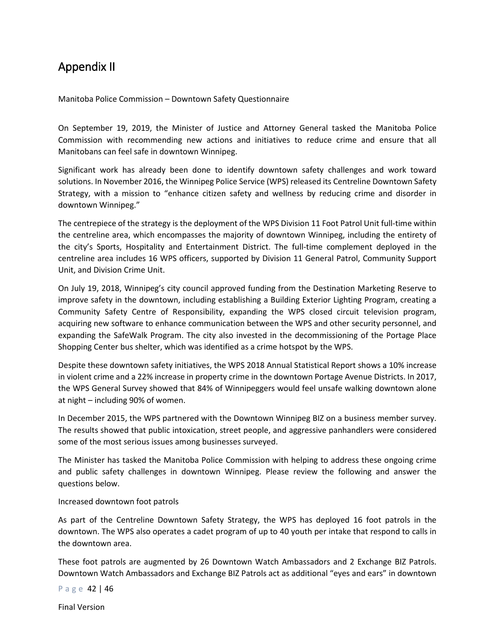## <span id="page-41-0"></span>Appendix II

Manitoba Police Commission – Downtown Safety Questionnaire

On September 19, 2019, the Minister of Justice and Attorney General tasked the Manitoba Police Commission with recommending new actions and initiatives to reduce crime and ensure that all Manitobans can feel safe in downtown Winnipeg.

Significant work has already been done to identify downtown safety challenges and work toward solutions. In November 2016, the Winnipeg Police Service (WPS) released its Centreline Downtown Safety Strategy, with a mission to "enhance citizen safety and wellness by reducing crime and disorder in downtown Winnipeg."

The centrepiece of the strategy is the deployment of the WPS Division 11 Foot Patrol Unit full-time within the centreline area, which encompasses the majority of downtown Winnipeg, including the entirety of the city's Sports, Hospitality and Entertainment District. The full-time complement deployed in the centreline area includes 16 WPS officers, supported by Division 11 General Patrol, Community Support Unit, and Division Crime Unit.

On July 19, 2018, Winnipeg's city council approved funding from the Destination Marketing Reserve to improve safety in the downtown, including establishing a Building Exterior Lighting Program, creating a Community Safety Centre of Responsibility, expanding the WPS closed circuit television program, acquiring new software to enhance communication between the WPS and other security personnel, and expanding the SafeWalk Program. The city also invested in the decommissioning of the Portage Place Shopping Center bus shelter, which was identified as a crime hotspot by the WPS.

Despite these downtown safety initiatives, the WPS 2018 Annual Statistical Report shows a 10% increase in violent crime and a 22% increase in property crime in the downtown Portage Avenue Districts. In 2017, the WPS General Survey showed that 84% of Winnipeggers would feel unsafe walking downtown alone at night – including 90% of women.

In December 2015, the WPS partnered with the Downtown Winnipeg BIZ on a business member survey. The results showed that public intoxication, street people, and aggressive panhandlers were considered some of the most serious issues among businesses surveyed.

The Minister has tasked the Manitoba Police Commission with helping to address these ongoing crime and public safety challenges in downtown Winnipeg. Please review the following and answer the questions below.

#### Increased downtown foot patrols

As part of the Centreline Downtown Safety Strategy, the WPS has deployed 16 foot patrols in the downtown. The WPS also operates a cadet program of up to 40 youth per intake that respond to calls in the downtown area.

These foot patrols are augmented by 26 Downtown Watch Ambassadors and 2 Exchange BIZ Patrols. Downtown Watch Ambassadors and Exchange BIZ Patrols act as additional "eyes and ears" in downtown

Page 42 | 46

Final Version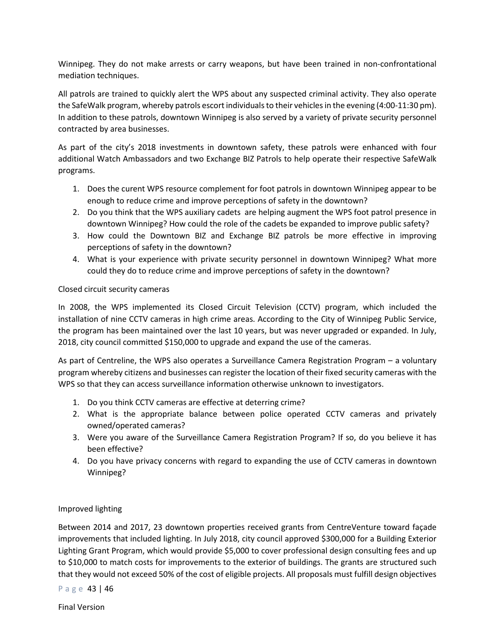Winnipeg. They do not make arrests or carry weapons, but have been trained in non-confrontational mediation techniques.

All patrols are trained to quickly alert the WPS about any suspected criminal activity. They also operate the SafeWalk program, whereby patrols escort individuals to their vehicles in the evening (4:00-11:30 pm). In addition to these patrols, downtown Winnipeg is also served by a variety of private security personnel contracted by area businesses.

As part of the city's 2018 investments in downtown safety, these patrols were enhanced with four additional Watch Ambassadors and two Exchange BIZ Patrols to help operate their respective SafeWalk programs.

- 1. Does the curent WPS resource complement for foot patrols in downtown Winnipeg appear to be enough to reduce crime and improve perceptions of safety in the downtown?
- 2. Do you think that the WPS auxiliary cadets are helping augment the WPS foot patrol presence in downtown Winnipeg? How could the role of the cadets be expanded to improve public safety?
- 3. How could the Downtown BIZ and Exchange BIZ patrols be more effective in improving perceptions of safety in the downtown?
- 4. What is your experience with private security personnel in downtown Winnipeg? What more could they do to reduce crime and improve perceptions of safety in the downtown?

### Closed circuit security cameras

In 2008, the WPS implemented its Closed Circuit Television (CCTV) program, which included the installation of nine CCTV cameras in high crime areas. According to the City of Winnipeg Public Service, the program has been maintained over the last 10 years, but was never upgraded or expanded. In July, 2018, city council committed \$150,000 to upgrade and expand the use of the cameras.

As part of Centreline, the WPS also operates a Surveillance Camera Registration Program – a voluntary program whereby citizens and businesses can register the location of their fixed security cameras with the WPS so that they can access surveillance information otherwise unknown to investigators.

- 1. Do you think CCTV cameras are effective at deterring crime?
- 2. What is the appropriate balance between police operated CCTV cameras and privately owned/operated cameras?
- 3. Were you aware of the Surveillance Camera Registration Program? If so, do you believe it has been effective?
- 4. Do you have privacy concerns with regard to expanding the use of CCTV cameras in downtown Winnipeg?

### Improved lighting

Between 2014 and 2017, 23 downtown properties received grants from CentreVenture toward façade improvements that included lighting. In July 2018, city council approved \$300,000 for a Building Exterior Lighting Grant Program, which would provide \$5,000 to cover professional design consulting fees and up to \$10,000 to match costs for improvements to the exterior of buildings. The grants are structured such that they would not exceed 50% of the cost of eligible projects. All proposals must fulfill design objectives

Page 43 | 46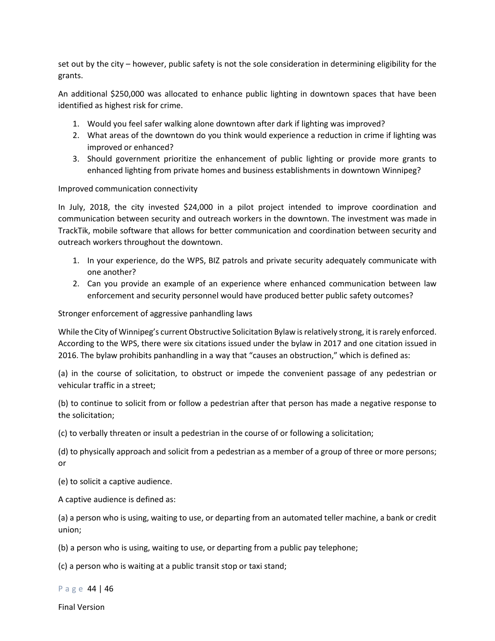set out by the city – however, public safety is not the sole consideration in determining eligibility for the grants.

An additional \$250,000 was allocated to enhance public lighting in downtown spaces that have been identified as highest risk for crime.

- 1. Would you feel safer walking alone downtown after dark if lighting was improved?
- 2. What areas of the downtown do you think would experience a reduction in crime if lighting was improved or enhanced?
- 3. Should government prioritize the enhancement of public lighting or provide more grants to enhanced lighting from private homes and business establishments in downtown Winnipeg?

Improved communication connectivity

In July, 2018, the city invested \$24,000 in a pilot project intended to improve coordination and communication between security and outreach workers in the downtown. The investment was made in TrackTik, mobile software that allows for better communication and coordination between security and outreach workers throughout the downtown.

- 1. In your experience, do the WPS, BIZ patrols and private security adequately communicate with one another?
- 2. Can you provide an example of an experience where enhanced communication between law enforcement and security personnel would have produced better public safety outcomes?

Stronger enforcement of aggressive panhandling laws

While the City of Winnipeg's current Obstructive Solicitation Bylaw is relatively strong, it is rarely enforced. According to the WPS, there were six citations issued under the bylaw in 2017 and one citation issued in 2016. The bylaw prohibits panhandling in a way that "causes an obstruction," which is defined as:

(a) in the course of solicitation, to obstruct or impede the convenient passage of any pedestrian or vehicular traffic in a street;

(b) to continue to solicit from or follow a pedestrian after that person has made a negative response to the solicitation;

(c) to verbally threaten or insult a pedestrian in the course of or following a solicitation;

(d) to physically approach and solicit from a pedestrian as a member of a group of three or more persons; or

(e) to solicit a captive audience.

A captive audience is defined as:

(a) a person who is using, waiting to use, or departing from an automated teller machine, a bank or credit union;

(b) a person who is using, waiting to use, or departing from a public pay telephone;

(c) a person who is waiting at a public transit stop or taxi stand;

Page 44 | 46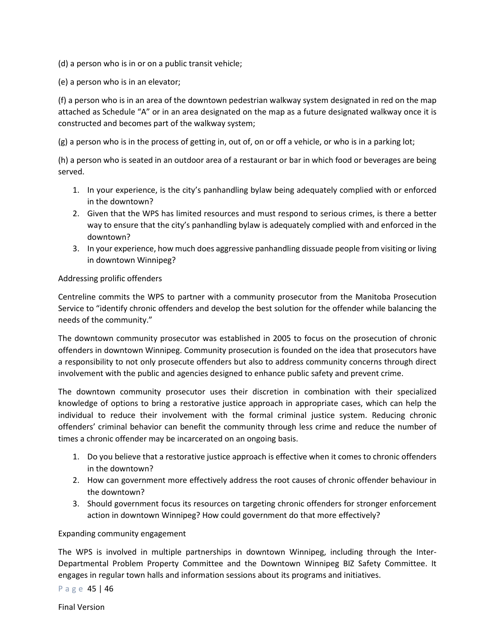(d) a person who is in or on a public transit vehicle;

(e) a person who is in an elevator;

(f) a person who is in an area of the downtown pedestrian walkway system designated in red on the map attached as Schedule "A" or in an area designated on the map as a future designated walkway once it is constructed and becomes part of the walkway system;

(g) a person who is in the process of getting in, out of, on or off a vehicle, or who is in a parking lot;

(h) a person who is seated in an outdoor area of a restaurant or bar in which food or beverages are being served.

- 1. In your experience, is the city's panhandling bylaw being adequately complied with or enforced in the downtown?
- 2. Given that the WPS has limited resources and must respond to serious crimes, is there a better way to ensure that the city's panhandling bylaw is adequately complied with and enforced in the downtown?
- 3. In your experience, how much does aggressive panhandling dissuade people from visiting or living in downtown Winnipeg?

#### Addressing prolific offenders

Centreline commits the WPS to partner with a community prosecutor from the Manitoba Prosecution Service to "identify chronic offenders and develop the best solution for the offender while balancing the needs of the community."

The downtown community prosecutor was established in 2005 to focus on the prosecution of chronic offenders in downtown Winnipeg. Community prosecution is founded on the idea that prosecutors have a responsibility to not only prosecute offenders but also to address community concerns through direct involvement with the public and agencies designed to enhance public safety and prevent crime.

The downtown community prosecutor uses their discretion in combination with their specialized knowledge of options to bring a restorative justice approach in appropriate cases, which can help the individual to reduce their involvement with the formal criminal justice system. Reducing chronic offenders' criminal behavior can benefit the community through less crime and reduce the number of times a chronic offender may be incarcerated on an ongoing basis.

- 1. Do you believe that a restorative justice approach is effective when it comes to chronic offenders in the downtown?
- 2. How can government more effectively address the root causes of chronic offender behaviour in the downtown?
- 3. Should government focus its resources on targeting chronic offenders for stronger enforcement action in downtown Winnipeg? How could government do that more effectively?

#### Expanding community engagement

The WPS is involved in multiple partnerships in downtown Winnipeg, including through the Inter-Departmental Problem Property Committee and the Downtown Winnipeg BIZ Safety Committee. It engages in regular town halls and information sessions about its programs and initiatives.

Page 45 | 46